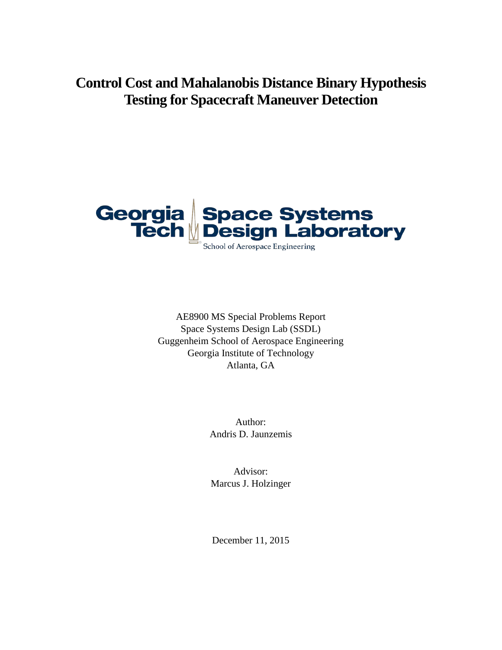**Control Cost and Mahalanobis Distance Binary Hypothesis Testing for Spacecraft Maneuver Detection**



AE8900 MS Special Problems Report Space Systems Design Lab (SSDL) Guggenheim School of Aerospace Engineering Georgia Institute of Technology Atlanta, GA

> Author: Andris D. Jaunzemis

Advisor: Marcus J. Holzinger

December 11, 2015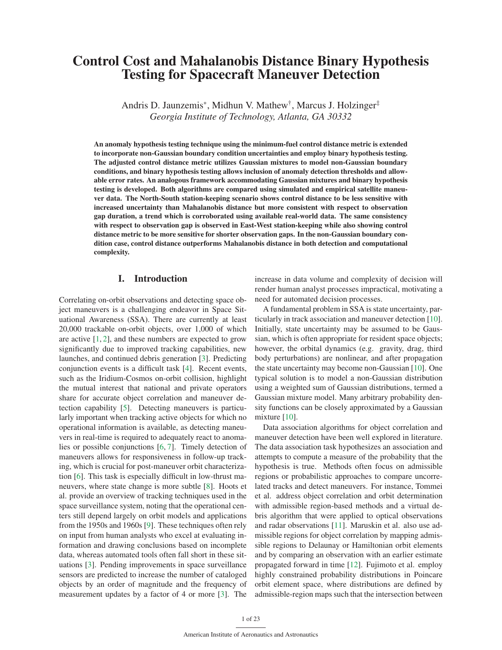# Control Cost and Mahalanobis Distance Binary Hypothesis Testing for Spacecraft Maneuver Detection

Andris D. Jaunzemis\*, Midhun V. Mathew†, Marcus J. Holzinger‡ *Georgia Institute of Technology, Atlanta, GA 30332*

An anomaly hypothesis testing technique using the minimum-fuel control distance metric is extended to incorporate non-Gaussian boundary condition uncertainties and employ binary hypothesis testing. The adjusted control distance metric utilizes Gaussian mixtures to model non-Gaussian boundary conditions, and binary hypothesis testing allows inclusion of anomaly detection thresholds and allowable error rates. An analogous framework accommodating Gaussian mixtures and binary hypothesis testing is developed. Both algorithms are compared using simulated and empirical satellite maneuver data. The North-South station-keeping scenario shows control distance to be less sensitive with increased uncertainty than Mahalanobis distance but more consistent with respect to observation gap duration, a trend which is corroborated using available real-world data. The same consistency with respect to observation gap is observed in East-West station-keeping while also showing control distance metric to be more sensitive for shorter observation gaps. In the non-Gaussian boundary condition case, control distance outperforms Mahalanobis distance in both detection and computational complexity.

# I. Introduction

Correlating on-orbit observations and detecting space object maneuvers is a challenging endeavor in Space Situational Awareness (SSA). There are currently at least 20,000 trackable on-orbit objects, over 1,000 of which are active  $[1, 2]$ , and these numbers are expected to grow significantly due to improved tracking capabilities, new launches, and continued debris generation [3]. Predicting conjunction events is a difficult task [4]. Recent events, such as the Iridium-Cosmos on-orbit collision, highlight the mutual interest that national and private operators share for accurate object correlation and maneuver detection capability [5]. Detecting maneuvers is particularly important when tracking active objects for which no operational information is available, as detecting maneuvers in real-time is required to adequately react to anomalies or possible conjunctions [6, 7]. Timely detection of maneuvers allows for responsiveness in follow-up tracking, which is crucial for post-maneuver orbit characterization [6]. This task is especially difficult in low-thrust maneuvers, where state change is more subtle [8]. Hoots et al. provide an overview of tracking techniques used in the space surveillance system, noting that the operational centers still depend largely on orbit models and applications from the 1950s and 1960s [9]. These techniques often rely on input from human analysts who excel at evaluating information and drawing conclusions based on incomplete data, whereas automated tools often fall short in these situations [3]. Pending improvements in space surveillance sensors are predicted to increase the number of cataloged objects by an order of magnitude and the frequency of measurement updates by a factor of 4 or more [3]. The increase in data volume and complexity of decision will render human analyst processes impractical, motivating a need for automated decision processes.

A fundamental problem in SSA is state uncertainty, particularly in track association and maneuver detection [10]. Initially, state uncertainty may be assumed to be Gaussian, which is often appropriate for resident space objects; however, the orbital dynamics (e.g. gravity, drag, third body perturbations) are nonlinear, and after propagation the state uncertainty may become non-Gaussian [10]. One typical solution is to model a non-Gaussian distribution using a weighted sum of Gaussian distributions, termed a Gaussian mixture model. Many arbitrary probability density functions can be closely approximated by a Gaussian mixture [10].

Data association algorithms for object correlation and maneuver detection have been well explored in literature. The data association task hypothesizes an association and attempts to compute a measure of the probability that the hypothesis is true. Methods often focus on admissible regions or probabilistic approaches to compare uncorrelated tracks and detect maneuvers. For instance, Tommei et al. address object correlation and orbit determination with admissible region-based methods and a virtual debris algorithm that were applied to optical observations and radar observations [11]. Maruskin et al. also use admissible regions for object correlation by mapping admissible regions to Delaunay or Hamiltonian orbit elements and by comparing an observation with an earlier estimate propagated forward in time [12]. Fujimoto et al. employ highly constrained probability distributions in Poincare orbit element space, where distributions are defined by admissible-region maps such that the intersection between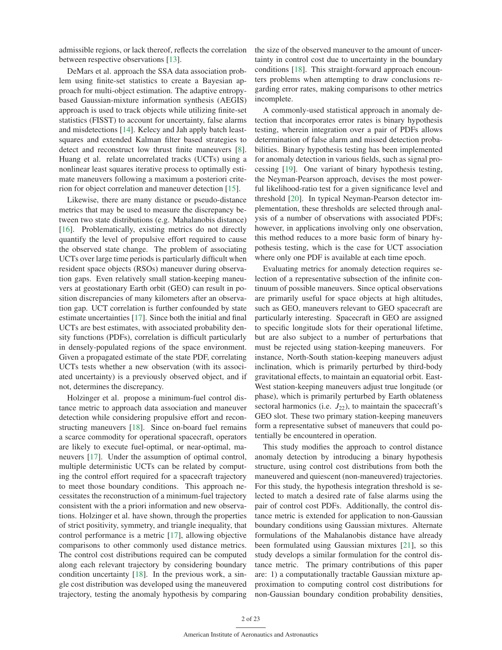admissible regions, or lack thereof, reflects the correlation between respective observations [13].

DeMars et al. approach the SSA data association problem using finite-set statistics to create a Bayesian approach for multi-object estimation. The adaptive entropybased Gaussian-mixture information synthesis (AEGIS) approach is used to track objects while utilizing finite-set statistics (FISST) to account for uncertainty, false alarms and misdetections [14]. Kelecy and Jah apply batch leastsquares and extended Kalman filter based strategies to detect and reconstruct low thrust finite maneuvers [8]. Huang et al. relate uncorrelated tracks (UCTs) using a nonlinear least squares iterative process to optimally estimate maneuvers following a maximum a posteriori criterion for object correlation and maneuver detection [15].

Likewise, there are many distance or pseudo-distance metrics that may be used to measure the discrepancy between two state distributions (e.g. Mahalanobis distance) [16]. Problematically, existing metrics do not directly quantify the level of propulsive effort required to cause the observed state change. The problem of associating UCTs over large time periods is particularly difficult when resident space objects (RSOs) maneuver during observation gaps. Even relatively small station-keeping maneuvers at geostationary Earth orbit (GEO) can result in position discrepancies of many kilometers after an observation gap. UCT correlation is further confounded by state estimate uncertainties [17]. Since both the initial and final UCTs are best estimates, with associated probability density functions (PDFs), correlation is difficult particularly in densely-populated regions of the space environment. Given a propagated estimate of the state PDF, correlating UCTs tests whether a new observation (with its associated uncertainty) is a previously observed object, and if not, determines the discrepancy.

Holzinger et al. propose a minimum-fuel control distance metric to approach data association and maneuver detection while considering propulsive effort and reconstructing maneuvers [18]. Since on-board fuel remains a scarce commodity for operational spacecraft, operators are likely to execute fuel-optimal, or near-optimal, maneuvers [17]. Under the assumption of optimal control, multiple deterministic UCTs can be related by computing the control effort required for a spacecraft trajectory to meet those boundary conditions. This approach necessitates the reconstruction of a minimum-fuel trajectory consistent with the a priori information and new observations. Holzinger et al. have shown, through the properties of strict positivity, symmetry, and triangle inequality, that control performance is a metric [17], allowing objective comparisons to other commonly used distance metrics. The control cost distributions required can be computed along each relevant trajectory by considering boundary condition uncertainty [18]. In the previous work, a single cost distribution was developed using the maneuvered trajectory, testing the anomaly hypothesis by comparing the size of the observed maneuver to the amount of uncertainty in control cost due to uncertainty in the boundary conditions [18]. This straight-forward approach encounters problems when attempting to draw conclusions regarding error rates, making comparisons to other metrics incomplete.

A commonly-used statistical approach in anomaly detection that incorporates error rates is binary hypothesis testing, wherein integration over a pair of PDFs allows determination of false alarm and missed detection probabilities. Binary hypothesis testing has been implemented for anomaly detection in various fields, such as signal processing [19]. One variant of binary hypothesis testing, the Neyman-Pearson approach, devises the most powerful likelihood-ratio test for a given significance level and threshold [20]. In typical Neyman-Pearson detector implementation, these thresholds are selected through analysis of a number of observations with associated PDFs; however, in applications involving only one observation, this method reduces to a more basic form of binary hypothesis testing, which is the case for UCT association where only one PDF is available at each time epoch.

Evaluating metrics for anomaly detection requires selection of a representative subsection of the infinite continuum of possible maneuvers. Since optical observations are primarily useful for space objects at high altitudes, such as GEO, maneuvers relevant to GEO spacecraft are particularly interesting. Spacecraft in GEO are assigned to specific longitude slots for their operational lifetime, but are also subject to a number of perturbations that must be rejected using station-keeping maneuvers. For instance, North-South station-keeping maneuvers adjust inclination, which is primarily perturbed by third-body gravitational effects, to maintain an equatorial orbit. East-West station-keeping maneuvers adjust true longitude (or phase), which is primarily perturbed by Earth oblateness sectoral harmonics (i.e.  $J_{22}$ ), to maintain the spacecraft's GEO slot. These two primary station-keeping maneuvers form a representative subset of maneuvers that could potentially be encountered in operation.

This study modifies the approach to control distance anomaly detection by introducing a binary hypothesis structure, using control cost distributions from both the maneuvered and quiescent (non-maneuvered) trajectories. For this study, the hypothesis integration threshold is selected to match a desired rate of false alarms using the pair of control cost PDFs. Additionally, the control distance metric is extended for application to non-Gaussian boundary conditions using Gaussian mixtures. Alternate formulations of the Mahalanobis distance have already been formulated using Gaussian mixtures [21], so this study develops a similar formulation for the control distance metric. The primary contributions of this paper are: 1) a computationally tractable Gaussian mixture approximation to computing control cost distributions for non-Gaussian boundary condition probability densities,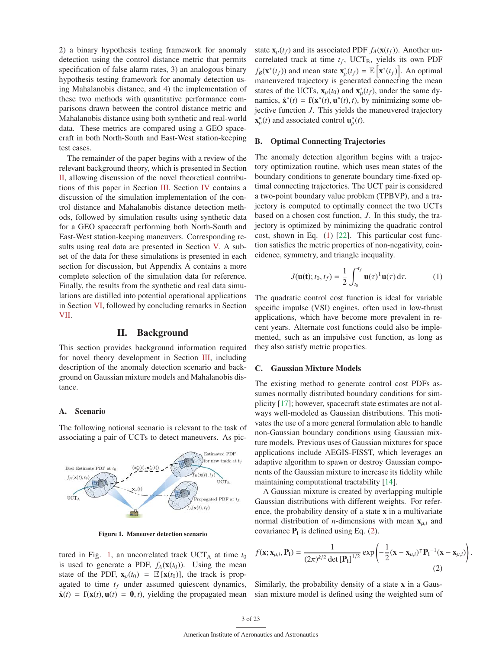2) a binary hypothesis testing framework for anomaly detection using the control distance metric that permits specification of false alarm rates, 3) an analogous binary hypothesis testing framework for anomaly detection using Mahalanobis distance, and 4) the implementation of these two methods with quantitative performance comparisons drawn between the control distance metric and Mahalanobis distance using both synthetic and real-world data. These metrics are compared using a GEO spacecraft in both North-South and East-West station-keeping test cases.

The remainder of the paper begins with a review of the relevant background theory, which is presented in Section II, allowing discussion of the novel theoretical contributions of this paper in Section III. Section IV contains a discussion of the simulation implementation of the control distance and Mahalanobis distance detection methods, followed by simulation results using synthetic data for a GEO spacecraft performing both North-South and East-West station-keeping maneuvers. Corresponding results using real data are presented in Section V. A subset of the data for these simulations is presented in each section for discussion, but Appendix A contains a more complete selection of the simulation data for reference. Finally, the results from the synthetic and real data simulations are distilled into potential operational applications in Section VI, followed by concluding remarks in Section VII.

# II. Background

This section provides background information required for novel theory development in Section III, including description of the anomaly detection scenario and background on Gaussian mixture models and Mahalanobis distance.

# A. Scenario

The following notional scenario is relevant to the task of associating a pair of UCTs to detect maneuvers. As pic-



Figure 1. Maneuver detection scenario

tured in Fig. 1, an uncorrelated track  $UCT_A$  at time  $t_0$ is used to generate a PDF,  $f_A(\mathbf{x}(t_0))$ . Using the mean state of the PDF,  $\mathbf{x}_{\mu}(t_0) = \mathbb{E} [\mathbf{x}(t_0)]$ , the track is propagated to time  $t_f$  under assumed quiescent dynamics,  $\dot{\mathbf{x}}(t) = \mathbf{f}(\mathbf{x}(t), \mathbf{u}(t)) = \mathbf{0}, t$ , yielding the propagated mean state  $\mathbf{x}_{\mu}(t_f)$  and its associated PDF  $f_A(\mathbf{x}(t_f))$ . Another uncorrelated track at time  $t_f$ , UCT<sub>B</sub>, yields its own PDF  $f_B(\mathbf{x}^*(t_f))$  and mean state  $\mathbf{x}_{\mu}^*(t_f) = \mathbb{E}[\mathbf{x}^*(t_f)].$  An optimal maneuvered trajectory is generated connecting the mean states of the UCTs,  $\mathbf{x}_{\mu}(t_0)$  and  $\mathbf{x}_{\mu}^*(t_f)$ , under the same dynamics,  $\dot{\mathbf{x}}^*(t) = \mathbf{f}(\mathbf{x}^*(t), \mathbf{u}^*(t), t)$ , by minimizing some objective function *J*. This yields the maneuvered trajectory  $\mathbf{x}_{\mu}^{*}(t)$  and associated control  $\mathbf{u}_{\mu}^{*}(t)$ .

#### B. Optimal Connecting Trajectories

The anomaly detection algorithm begins with a trajectory optimization routine, which uses mean states of the boundary conditions to generate boundary time-fixed optimal connecting trajectories. The UCT pair is considered a two-point boundary value problem (TPBVP), and a trajectory is computed to optimally connect the two UCTs based on a chosen cost function, *J*. In this study, the trajectory is optimized by minimizing the quadratic control cost, shown in Eq. (1) [22]. This particular cost function satisfies the metric properties of non-negativity, coincidence, symmetry, and triangle inequality.

$$
J(\mathbf{u}(\mathbf{t}); t_0, t_f) = \frac{1}{2} \int_{t_0}^{t_f} \mathbf{u}(\tau)^{\mathrm{T}} \mathbf{u}(\tau) d\tau.
$$
 (1)

The quadratic control cost function is ideal for variable specific impulse (VSI) engines, often used in low-thrust applications, which have become more prevalent in recent years. Alternate cost functions could also be implemented, such as an impulsive cost function, as long as they also satisfy metric properties.

#### C. Gaussian Mixture Models

The existing method to generate control cost PDFs assumes normally distributed boundary conditions for simplicity [17]; however, spacecraft state estimates are not always well-modeled as Gaussian distributions. This motivates the use of a more general formulation able to handle non-Gaussian boundary conditions using Gaussian mixture models. Previous uses of Gaussian mixtures for space applications include AEGIS-FISST, which leverages an adaptive algorithm to spawn or destroy Gaussian components of the Gaussian mixture to increase its fidelity while maintaining computational tractability [14].

A Gaussian mixture is created by overlapping multiple Gaussian distributions with different weights. For reference, the probability density of a state x in a multivariate normal distribution of *n*-dimensions with mean  $x_{\mu,i}$  and covariance  $P_i$  is defined using Eq. (2).

$$
f(\mathbf{x}; \mathbf{x}_{\mu,i}, \mathbf{P_i}) = \frac{1}{(2\pi)^{k/2} \det[\mathbf{P_i}]^{1/2}} \exp\left(-\frac{1}{2}(\mathbf{x} - \mathbf{x}_{\mu,i})^{\mathsf{T}} \mathbf{P_i}^{-1}(\mathbf{x} - \mathbf{x}_{\mu,i})\right)
$$
(2)

.

Similarly, the probability density of a state x in a Gaussian mixture model is defined using the weighted sum of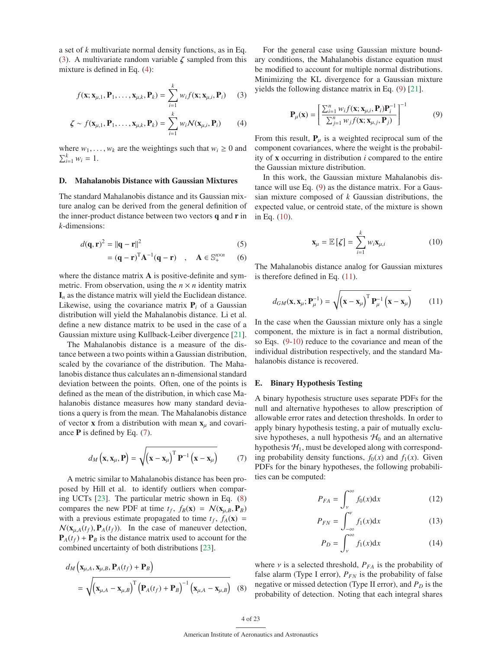a set of *k* multivariate normal density functions, as in Eq. (3). A multivariate random variable  $\zeta$  sampled from this mixture is defined in Eq. (4):

$$
f(\mathbf{x}; \mathbf{x}_{\mu,1}, \mathbf{P}_1, \dots, \mathbf{x}_{\mu,k}, \mathbf{P}_k) = \sum_{i=1}^k w_{ij} f(\mathbf{x}; \mathbf{x}_{\mu,i}, \mathbf{P}_i) \qquad (3)
$$

$$
\zeta \sim f(\mathbf{x}_{\mu,1}, \mathbf{P}_1, \dots, \mathbf{x}_{\mu,k}, \mathbf{P}_k) = \sum_{i=1}^{N} w_i \mathcal{N}(\mathbf{x}_{\mu,i}, \mathbf{P}_i)
$$
 (4)

where  $w_1, \ldots, w_k$  are the weightings such that  $w_i \geq 0$  and  $\sum_{i=1}^{k} w_i = 1.$ 

#### D. Mahalanobis Distance with Gaussian Mixtures

The standard Mahalanobis distance and its Gaussian mixture analog can be derived from the general definition of the inner-product distance between two vectors  $q$  and  $r$  in *k*-dimensions:

$$
d(\mathbf{q}, \mathbf{r})^2 = ||\mathbf{q} - \mathbf{r}||^2 \tag{5}
$$

$$
= (\mathbf{q} - \mathbf{r})^{\mathrm{T}} \mathbf{A}^{-1} (\mathbf{q} - \mathbf{r}) \quad , \quad \mathbf{A} \in \mathbb{S}_{+}^{n \times n} \quad (6)
$$

where the distance matrix **A** is positive-definite and symmetric. From observation, using the  $n \times n$  identity matrix  $I_n$  as the distance matrix will yield the Euclidean distance. Likewise, using the covariance matrix  $P_i$  of a Gaussian distribution will yield the Mahalanobis distance. Li et al. define a new distance matrix to be used in the case of a Gaussian mixture using Kullback-Leiber divergence [21].

The Mahalanobis distance is a measure of the distance between a two points within a Gaussian distribution, scaled by the covariance of the distribution. The Mahalanobis distance thus calculates an n-dimensional standard deviation between the points. Often, one of the points is defined as the mean of the distribution, in which case Mahalanobis distance measures how many standard deviations a query is from the mean. The Mahalanobis distance of vector **x** from a distribution with mean  $x_{\mu}$  and covariance  $P$  is defined by Eq. (7).

$$
d_M\left(\mathbf{x}, \mathbf{x}_{\mu}, \mathbf{P}\right) = \sqrt{\left(\mathbf{x} - \mathbf{x}_{\mu}\right)^{\mathrm{T}} \mathbf{P}^{-1}\left(\mathbf{x} - \mathbf{x}_{\mu}\right)}
$$
(7)

A metric similar to Mahalanobis distance has been proposed by Hill et al. to identify outliers when comparing UCTs [23]. The particular metric shown in Eq. (8) compares the new PDF at time  $t_f$ ,  $f_B(\mathbf{x}) = \mathcal{N}(\mathbf{x}_{u,B}, \mathbf{P}_B)$ with a previous estimate propagated to time  $t_f$ ,  $f_A(\mathbf{x})$  =  $\mathcal{N}(\mathbf{x}_{\mu,A}(t_f), \mathbf{P}_A(t_f))$ . In the case of maneuver detection,  $P_A(t_f) + P_B$  is the distance matrix used to account for the combined uncertainty of both distributions [23].

$$
d_M\left(\mathbf{x}_{\mu,A}, \mathbf{x}_{\mu,B}, \mathbf{P}_A(t_f) + \mathbf{P}_B\right)
$$
  
=  $\sqrt{\left(\mathbf{x}_{\mu,A} - \mathbf{x}_{\mu,B}\right)^T \left(\mathbf{P}_A(t_f) + \mathbf{P}_B\right)^{-1} \left(\mathbf{x}_{\mu,A} - \mathbf{x}_{\mu,B}\right)}$  (8)

For the general case using Gaussian mixture boundary conditions, the Mahalanobis distance equation must be modified to account for multiple normal distributions. Minimizing the KL divergence for a Gaussian mixture yields the following distance matrix in Eq. (9) [21].

$$
\mathbf{P}_{\mu}(\mathbf{x}) = \left[ \frac{\sum_{i=1}^{n} w_{i} f(\mathbf{x}; \mathbf{x}_{\mu, i}, \mathbf{P}_{i}) \mathbf{P}_{i}^{-1}}{\sum_{j=1}^{n} w_{j} f(\mathbf{x}; \mathbf{x}_{\mu, j}, \mathbf{P}_{j})} \right]^{-1}
$$
(9)

From this result,  $P_{\mu}$  is a weighted reciprocal sum of the component covariances, where the weight is the probability of x occurring in distribution *i* compared to the entire the Gaussian mixture distribution.

In this work, the Gaussian mixture Mahalanobis distance will use Eq. (9) as the distance matrix. For a Gaussian mixture composed of *k* Gaussian distributions, the expected value, or centroid state, of the mixture is shown in Eq. (10).

$$
\mathbf{x}_{\mu} = \mathbb{E}\left[\zeta\right] = \sum_{i=1}^{k} w_i \mathbf{x}_{\mu,i} \tag{10}
$$

The Mahalanobis distance analog for Gaussian mixtures is therefore defined in Eq. (11).

$$
d_{GM}(\mathbf{x}, \mathbf{x}_{\mu}; \mathbf{P}_{\mu}^{-1}) = \sqrt{(\mathbf{x} - \mathbf{x}_{\mu})^{\mathrm{T}} \mathbf{P}_{\mu}^{-1} (\mathbf{x} - \mathbf{x}_{\mu})}
$$
(11)

In the case when the Gaussian mixture only has a single component, the mixture is in fact a normal distribution, so Eqs. (9-10) reduce to the covariance and mean of the individual distribution respectively, and the standard Mahalanobis distance is recovered.

### E. Binary Hypothesis Testing

A binary hypothesis structure uses separate PDFs for the null and alternative hypotheses to allow prescription of allowable error rates and detection thresholds. In order to apply binary hypothesis testing, a pair of mutually exclusive hypotheses, a null hypothesis  $H_0$  and an alternative hypothesis  $H_1$ , must be developed along with corresponding probability density functions,  $f_0(x)$  and  $f_1(x)$ . Given PDFs for the binary hypotheses, the following probabilities can be computed:

$$
P_{FA} = \int_{\nu}^{\infty} f_0(x) \mathrm{d}x \tag{12}
$$

$$
P_{FN} = \int_{-\infty}^{\nu} f_1(x) \mathrm{d}x \tag{13}
$$

$$
P_D = \int_{\nu}^{\infty} f_1(x) \mathrm{d}x \tag{14}
$$

where  $\nu$  is a selected threshold,  $P_{FA}$  is the probability of false alarm (Type I error),  $P_{FN}$  is the probability of false negative or missed detection (Type II error), and  $P_D$  is the probability of detection. Noting that each integral shares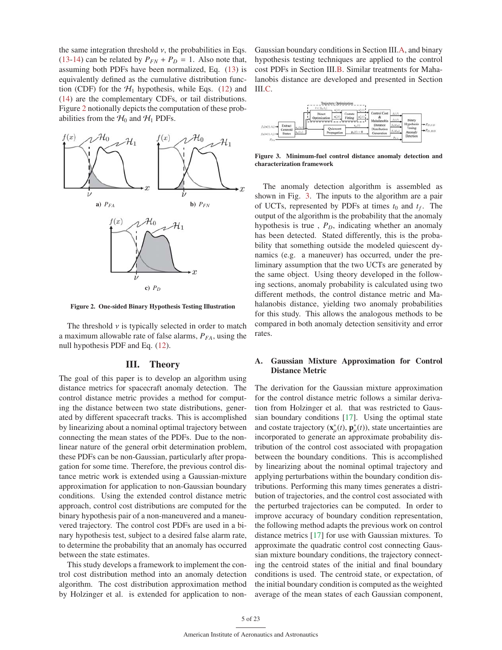the same integration threshold  $\nu$ , the probabilities in Eqs. (13-14) can be related by  $P_{FN} + P_D = 1$ . Also note that, assuming both PDFs have been normalized, Eq. (13) is equivalently defined as the cumulative distribution function (CDF) for the  $H_1$  hypothesis, while Eqs. (12) and (14) are the complementary CDFs, or tail distributions. Figure 2 notionally depicts the computation of these probabilities from the  $H_0$  and  $H_1$  PDFs.



Figure 2. One-sided Binary Hypothesis Testing Illustration

The threshold  $\nu$  is typically selected in order to match a maximum allowable rate of false alarms,  $P_{FA}$ , using the null hypothesis PDF and Eq. (12).

# III. Theory

The goal of this paper is to develop an algorithm using distance metrics for spacecraft anomaly detection. The control distance metric provides a method for computing the distance between two state distributions, generated by different spacecraft tracks. This is accomplished by linearizing about a nominal optimal trajectory between connecting the mean states of the PDFs. Due to the nonlinear nature of the general orbit determination problem, these PDFs can be non-Gaussian, particularly after propagation for some time. Therefore, the previous control distance metric work is extended using a Gaussian-mixture approximation for application to non-Gaussian boundary conditions. Using the extended control distance metric approach, control cost distributions are computed for the binary hypothesis pair of a non-maneuvered and a maneuvered trajectory. The control cost PDFs are used in a binary hypothesis test, subject to a desired false alarm rate, to determine the probability that an anomaly has occurred between the state estimates.

This study develops a framework to implement the control cost distribution method into an anomaly detection algorithm. The cost distribution approximation method by Holzinger et al. is extended for application to nonGaussian boundary conditions in Section III.A, and binary hypothesis testing techniques are applied to the control cost PDFs in Section III.B. Similar treatments for Mahalanobis distance are developed and presented in Section III.C.

| Trajectory Optimization<br>$t \in [t_0, t_I]$                                                                                                                             |                                               |                                                          |                                                  |
|---------------------------------------------------------------------------------------------------------------------------------------------------------------------------|-----------------------------------------------|----------------------------------------------------------|--------------------------------------------------|
| $x_n^*(t)$<br>$S_n^{\sigma}(t)$<br>Costate<br>Direct<br>$u_n^*(t)$<br>$p_{\alpha}^{*}(t)$<br>Fitting<br>Optimization<br>r۳                                                | Control Cost<br>Mahalanobis                   | $f_1(J)$<br>Binary                                       |                                                  |
| $x_n(t)$<br>Extract<br>$\mathbf{x}_\alpha(t_0)$<br>Ouiescent<br>Centroid<br>$\mathbf{p}_n(t) = \mathbf{0}$<br>Propagation<br><b>States</b><br>$f_B(x(t),t_f) \rightarrow$ | Distance<br><b>Distribution</b><br>Generation | Hypohesis<br>faldse).<br>Testing<br>$f_1(dx)$<br>Anomaly | $\rightarrow P_{D,CD}$<br>$\rightarrow P_{D,MD}$ |
| $P_{F,i}$                                                                                                                                                                 |                                               | Detection<br>$P_{FA}$                                    |                                                  |

Figure 3. Minimum-fuel control distance anomaly detection and characterization framework

The anomaly detection algorithm is assembled as shown in Fig. 3. The inputs to the algorithm are a pair of UCTs, represented by PDFs at times  $t_0$  and  $t_f$ . The output of the algorithm is the probability that the anomaly hypothesis is true,  $P<sub>D</sub>$ , indicating whether an anomaly has been detected. Stated differently, this is the probability that something outside the modeled quiescent dynamics (e.g. a maneuver) has occurred, under the preliminary assumption that the two UCTs are generated by the same object. Using theory developed in the following sections, anomaly probability is calculated using two different methods, the control distance metric and Mahalanobis distance, yielding two anomaly probabilities for this study. This allows the analogous methods to be compared in both anomaly detection sensitivity and error rates.

# A. Gaussian Mixture Approximation for Control Distance Metric

The derivation for the Gaussian mixture approximation for the control distance metric follows a similar derivation from Holzinger et al. that was restricted to Gaussian boundary conditions [17]. Using the optimal state and costate trajectory  $(\mathbf{x}_{\mu}^*(t), \mathbf{p}_{\mu}^*(t))$ , state uncertainties are incorporated to generate an approximate probability distribution of the control cost associated with propagation between the boundary conditions. This is accomplished by linearizing about the nominal optimal trajectory and applying perturbations within the boundary condition distributions. Performing this many times generates a distribution of trajectories, and the control cost associated with the perturbed trajectories can be computed. In order to improve accuracy of boundary condition representation, the following method adapts the previous work on control distance metrics [17] for use with Gaussian mixtures. To approximate the quadratic control cost connecting Gaussian mixture boundary conditions, the trajectory connecting the centroid states of the initial and final boundary conditions is used. The centroid state, or expectation, of the initial boundary condition is computed as the weighted average of the mean states of each Gaussian component,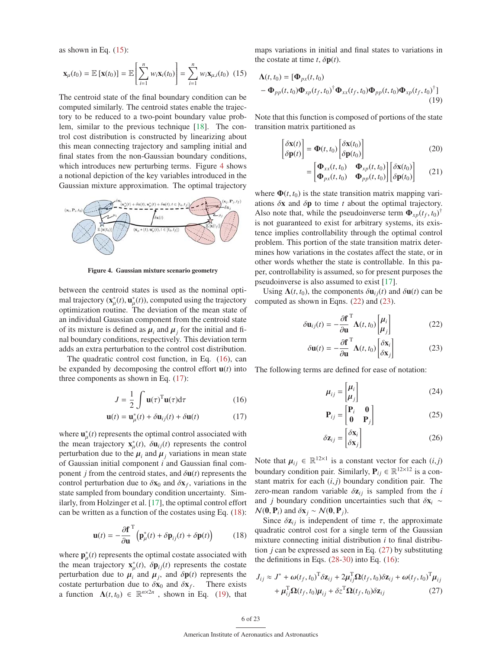as shown in Eq.  $(15)$ :

$$
\mathbf{x}_{\mu}(t_0) = \mathbb{E}\left[\mathbf{x}(t_0)\right] = \mathbb{E}\left[\sum_{i=1}^{n} w_i \mathbf{x}_i(t_0)\right] = \sum_{i=1}^{n} w_i \mathbf{x}_{\mu,i}(t_0) \tag{15}
$$

The centroid state of the final boundary condition can be computed similarly. The centroid states enable the trajectory to be reduced to a two-point boundary value problem, similar to the previous technique [18]. The control cost distribution is constructed by linearizing about this mean connecting trajectory and sampling initial and final states from the non-Gaussian boundary conditions, which introduces new perturbing terms. Figure 4 shows a notional depiction of the key variables introduced in the Gaussian mixture approximation. The optimal trajectory



Figure 4. Gaussian mixture scenario geometry

between the centroid states is used as the nominal optimal trajectory  $(\mathbf{x}_{\mu}^*(t), \mathbf{u}_{\mu}^*(t))$ , computed using the trajectory optimization routine. The deviation of the mean state of an individual Gaussian component from the centroid state of its mixture is defined as  $\mu_i$  and  $\mu_j$  for the initial and final boundary conditions, respectively. This deviation term adds an extra perturbation to the control cost distribution.

The quadratic control cost function, in Eq. (16), can be expanded by decomposing the control effort  $\mathbf{u}(t)$  into three components as shown in Eq. (17):

$$
J = \frac{1}{2} \int \mathbf{u}(\tau)^{\mathrm{T}} \mathbf{u}(\tau) d\tau
$$
 (16)

$$
\mathbf{u}(t) = \mathbf{u}_{\mu}^*(t) + \delta \mathbf{u}_{ij}(t) + \delta \mathbf{u}(t)
$$
 (17)

where  $\mathbf{u}_{\mu}^{*}(t)$  represents the optimal control associated with the mean trajectory  $\mathbf{x}_{\mu}^{*}(t)$ ,  $\delta \mathbf{u}_{ij}(t)$  represents the control perturbation due to the  $\mu_i$  and  $\mu_j$  variations in mean state of Gaussian initial component *i* and Gaussian final component *j* from the centroid states, and  $\delta$ **u**(*t*) represents the control perturbation due to  $\delta x_0$  and  $\delta x_f$ , variations in the state sampled from boundary condition uncertainty. Similarly, from Holzinger et al. [17], the optimal control effort can be written as a function of the costates using Eq. (18):

$$
\mathbf{u}(t) = -\frac{\partial \mathbf{f}}{\partial \mathbf{u}}^{\mathrm{T}} \left( \mathbf{p}_{\mu}^*(t) + \delta \mathbf{p}_{ij}(t) + \delta \mathbf{p}(t) \right) \tag{18}
$$

where  $\mathbf{p}_{\mu}^{*}(t)$  represents the optimal costate associated with the mean trajectory  $\mathbf{x}_{\mu}^{*}(t)$ ,  $\delta \mathbf{p}_{ij}(t)$  represents the costate perturbation due to  $\mu_i$  and  $\mu_j$ , and  $\delta \mathbf{p}(t)$  represents the costate perturbation due to  $\delta x_0$  and  $\delta x_f$ . There exists a function  $\Lambda(t, t_0) \in \mathbb{R}^{n \times 2n}$ , shown in Eq. (19), that maps variations in initial and final states to variations in the costate at time  $t$ ,  $\delta \mathbf{p}(t)$ .

$$
\Lambda(t, t_0) = [\Phi_{px}(t, t_0) \n- \Phi_{pp}(t, t_0) \Phi_{xp}(t_f, t_0)^{\dagger} \Phi_{xx}(t_f, t_0) \Phi_{pp}(t, t_0) \Phi_{xp}(t_f, t_0)^{\dagger}]
$$
\n(19)

Note that this function is composed of portions of the state transition matrix partitioned as

$$
\begin{bmatrix} \delta \mathbf{x}(t) \\ \delta \mathbf{p}(t) \end{bmatrix} = \mathbf{\Phi}(t, t_0) \begin{bmatrix} \delta \mathbf{x}(t_0) \\ \delta \mathbf{p}(t_0) \end{bmatrix}
$$
 (20)

$$
= \begin{bmatrix} \mathbf{\Phi}_{xx}(t,t_0) & \mathbf{\Phi}_{xp}(t,t_0) \\ \mathbf{\Phi}_{px}(t,t_0) & \mathbf{\Phi}_{pp}(t,t_0) \end{bmatrix} \begin{bmatrix} \delta \mathbf{x}(t_0) \\ \delta \mathbf{p}(t_0) \end{bmatrix} \tag{21}
$$

where  $\Phi(t, t_0)$  is the state transition matrix mapping variations  $\delta x$  and  $\delta p$  to time *t* about the optimal trajectory. Also note that, while the pseudoinverse term  $\Phi_{xp}(t_f, t_0)^\dagger$ is not guaranteed to exist for arbitrary systems, its existence implies controllability through the optimal control problem. This portion of the state transition matrix determines how variations in the costates affect the state, or in other words whether the state is controllable. In this paper, controllability is assumed, so for present purposes the pseudoinverse is also assumed to exist [17].

Using  $\Lambda(t, t_0)$ , the components  $\delta u_{ij}(t)$  and  $\delta u(t)$  can be computed as shown in Eqns. (22) and (23).

$$
\delta \mathbf{u}_{ij}(t) = -\frac{\partial \mathbf{f}}{\partial \mathbf{u}}^{\mathrm{T}} \Lambda(t, t_0) \begin{bmatrix} \boldsymbol{\mu}_i \\ \boldsymbol{\mu}_j \end{bmatrix}
$$
(22)

$$
\delta \mathbf{u}(t) = -\frac{\partial \mathbf{f}}{\partial \mathbf{u}}^{\mathrm{T}} \mathbf{\Lambda}(t, t_0) \begin{bmatrix} \delta \mathbf{x}_i \\ \delta \mathbf{x}_j \end{bmatrix}
$$
(23)

The following terms are defined for ease of notation:

$$
\mu_{ij} = \begin{bmatrix} \mu_i \\ \mu_j \end{bmatrix} \tag{24}
$$

$$
\mathbf{P}_{ij} = \begin{bmatrix} \mathbf{P}_i & \mathbf{0} \\ \mathbf{0} & \mathbf{P}_j \end{bmatrix} \tag{25}
$$

$$
\delta \mathbf{z}_{ij} = \begin{bmatrix} \delta \mathbf{x}_i \\ \delta \mathbf{x}_j \end{bmatrix} \tag{26}
$$

Note that  $\mu_{ij} \in \mathbb{R}^{12 \times 1}$  is a constant vector for each  $(i, j)$ boundary condition pair. Similarly,  $P_{ij} \in \mathbb{R}^{12 \times 12}$  is a constant matrix for each  $(i, j)$  boundary condition pair. The zero-mean random variable  $\delta z_{ij}$  is sampled from the *i* and *j* boundary condition uncertainties such that δx*<sup>i</sup>* ∼  $\mathcal{N}(\mathbf{0}, \mathbf{P}_i)$  and  $\delta \mathbf{x}_i \sim \mathcal{N}(\mathbf{0}, \mathbf{P}_i)$ .

Since  $\delta z_{ij}$  is independent of time  $\tau$ , the approximate quadratic control cost for a single term of the Gaussian mixture connecting initial distribution *i* to final distribution *j* can be expressed as seen in Eq. (27) by substituting the definitions in Eqs. (28-30) into Eq. (16):

$$
J_{ij} \approx J^* + \omega(t_f, t_0)^T \delta \mathbf{z}_{ij} + 2\mu_{ij}^T \mathbf{\Omega}(t_f, t_0) \delta \mathbf{z}_{ij} + \omega(t_f, t_0)^T \mu_{ij} + \mu_{ij}^T \mathbf{\Omega}(t_f, t_0) \mu_{ij} + \delta z^T \mathbf{\Omega}(t_f, t_0) \delta \mathbf{z}_{ij}
$$
(27)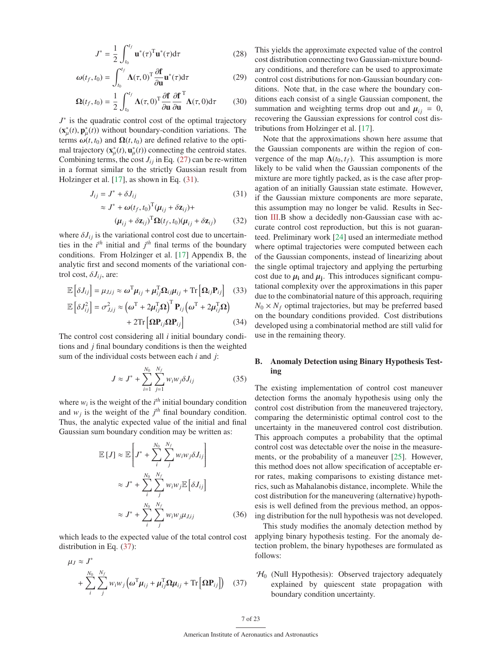$$
J^* = \frac{1}{2} \int_{t_0}^{t_f} \mathbf{u}^*(\tau)^\mathrm{T} \mathbf{u}^*(\tau) d\tau \tag{28}
$$

$$
\omega(t_f, t_0) = \int_{t_0}^{t_f} \Lambda(\tau, 0)^T \frac{\partial \mathbf{f}}{\partial \mathbf{u}} \mathbf{u}^*(\tau) d\tau
$$
 (29)

$$
\Omega(t_f, t_0) = \frac{1}{2} \int_{t_0}^{t_f} \Lambda(\tau, 0)^{\text{T}} \frac{\partial \mathbf{f}}{\partial \mathbf{u}} \frac{\partial \mathbf{f}}{\partial \mathbf{u}}^{\text{T}} \Lambda(\tau, 0) d\tau \qquad (30)
$$

*J*<sup>∗</sup> is the quadratic control cost of the optimal trajectory  $(\mathbf{x}_{\mu}^{*}(t), \mathbf{p}_{\mu}^{*}(t))$  without boundary-condition variations. The terms  $\omega(t, t_0)$  and  $\Omega(t, t_0)$  are defined relative to the optimal trajectory  $(\mathbf{x}_{\mu}^*(t), \mathbf{u}_{\mu}^*(t))$  connecting the centroid states. Combining terms, the cost  $J_{ij}$  in Eq. (27) can be re-written in a format similar to the strictly Gaussian result from Holzinger et al. [17], as shown in Eq. (31).

$$
J_{ij} = J^* + \delta J_{ij}
$$
(31)  
\n
$$
\approx J^* + \omega (t_f, t_0)^{\mathrm{T}} (\mu_{ij} + \delta \mathbf{z}_{ij}) +
$$
  
\n
$$
(\mu_{ij} + \delta \mathbf{z}_{ij})^{\mathrm{T}} \Omega (t_f, t_0) (\mu_{ij} + \delta \mathbf{z}_{ij})
$$
(32)

where  $\delta J_{ij}$  is the variational control cost due to uncertainties in the  $i^{th}$  initial and  $j^{th}$  final terms of the boundary conditions. From Holzinger et al. [17] Appendix B, the analytic first and second moments of the variational control cost,  $\delta J_{ij}$ , are:

$$
\mathbb{E}\left[\delta J_{ij}\right] = \mu_{J,ij} \approx \omega^{\mathrm{T}} \mu_{ij} + \mu_{ij}^{\mathrm{T}} \Omega_{ij} \mu_{ij} + \mathrm{Tr}\left[\Omega_{ij} \mathbf{P}_{ij}\right] \quad (33)
$$

$$
\mathbb{E}\left[\delta J_{ij}^{2}\right] = \sigma_{J,ij}^{2} \approx \left(\omega^{\mathrm{T}} + 2\mu_{ij}^{\mathrm{T}} \Omega\right)^{\mathrm{T}} \mathbf{P}_{ij} \left(\omega^{\mathrm{T}} + 2\mu_{ij}^{\mathrm{T}} \Omega\right)
$$

$$
\begin{aligned} \n\left] &= \sigma_{j,ij}^2 \approx \left( \omega^{\mathrm{T}} + 2\mu_{ij}^{\mathrm{T}} \mathbf{\Omega} \right)^{\mathrm{T}} \mathbf{P}_{ij} \left( \omega^{\mathrm{T}} + 2\mu_{ij}^{\mathrm{T}} \mathbf{\Omega} \right) \\ \n&\quad + 2 \mathrm{Tr} \left[ \mathbf{\Omega} \mathbf{P}_{ij} \mathbf{\Omega} \mathbf{P}_{ij} \right] \n\end{aligned} \tag{34}
$$

The control cost considering all *i* initial boundary conditions and *j* final boundary conditions is then the weighted sum of the individual costs between each *i* and *j*:

$$
J \approx J^* + \sum_{i=1}^{N_0} \sum_{j=1}^{N_f} w_i w_j \delta J_{ij}
$$
 (35)

where  $w_i$  is the weight of the  $i^{th}$  initial boundary condition and  $w_j$  is the weight of the  $j^{th}$  final boundary condition. Thus, the analytic expected value of the initial and final Gaussian sum boundary condition may be written as:

$$
\mathbb{E}[J] \approx \mathbb{E}\left[J^* + \sum_{i}^{N_0} \sum_{j}^{N_f} w_i w_j \delta J_{ij}\right]
$$
  

$$
\approx J^* + \sum_{i}^{N_0} \sum_{j}^{N_f} w_i w_j \mathbb{E}\left[\delta J_{ij}\right]
$$
  

$$
\approx J^* + \sum_{i}^{N_0} \sum_{j}^{N_f} w_i w_j \mu_{J,ij}
$$
(36)

which leads to the expected value of the total control cost distribution in Eq. (37):

$$
\mu_J \approx J^*
$$
  
+  $\sum_{i}^{N_0} \sum_{j}^{N_f} w_i w_j \left( \omega^{\mathrm{T}} \mu_{ij} + \mu_{ij}^{\mathrm{T}} \Omega \mu_{ij} + \mathrm{Tr} \left[ \Omega \mathbf{P}_{ij} \right] \right)$  (37)

This yields the approximate expected value of the control cost distribution connecting two Gaussian-mixture boundary conditions, and therefore can be used to approximate control cost distributions for non-Gaussian boundary conditions. Note that, in the case where the boundary conditions each consist of a single Gaussian component, the summation and weighting terms drop out and  $\mu_{ii} = 0$ , recovering the Gaussian expressions for control cost distributions from Holzinger et al. [17].

Note that the approximations shown here assume that the Gaussian components are within the region of convergence of the map  $\Lambda(t_0, t_f)$ . This assumption is more likely to be valid when the Gaussian components of the mixture are more tightly packed, as is the case after propagation of an initially Gaussian state estimate. However, if the Gaussian mixture components are more separate, this assumption may no longer be valid. Results in Section III.B show a decidedly non-Gaussian case with accurate control cost reproduction, but this is not guaranteed. Preliminary work [24] used an intermediate method where optimal trajectories were computed between each of the Gaussian components, instead of linearizing about the single optimal trajectory and applying the perturbing cost due to  $\mu_i$  and  $\mu_i$ . This introduces significant computational complexity over the approximations in this paper due to the combinatorial nature of this approach, requiring  $N_0 \times N_f$  optimal trajectories, but may be preferred based on the boundary conditions provided. Cost distributions developed using a combinatorial method are still valid for use in the remaining theory.

# B. Anomaly Detection using Binary Hypothesis Testing

The existing implementation of control cost maneuver detection forms the anomaly hypothesis using only the control cost distribution from the maneuvered trajectory, comparing the deterministic optimal control cost to the uncertainty in the maneuvered control cost distribution. This approach computes a probability that the optimal control cost was detectable over the noise in the measurements, or the probability of a maneuver [25]. However, this method does not allow specification of acceptable error rates, making comparisons to existing distance metrics, such as Mahalanobis distance, incomplete. While the cost distribution for the maneuvering (alternative) hypothesis is well defined from the previous method, an opposing distribution for the null hypothesis was not developed.

This study modifies the anomaly detection method by applying binary hypothesis testing. For the anomaly detection problem, the binary hypotheses are formulated as follows:

 $H<sub>0</sub>$  (Null Hypothesis): Observed trajectory adequately explained by quiescent state propagation with boundary condition uncertainty.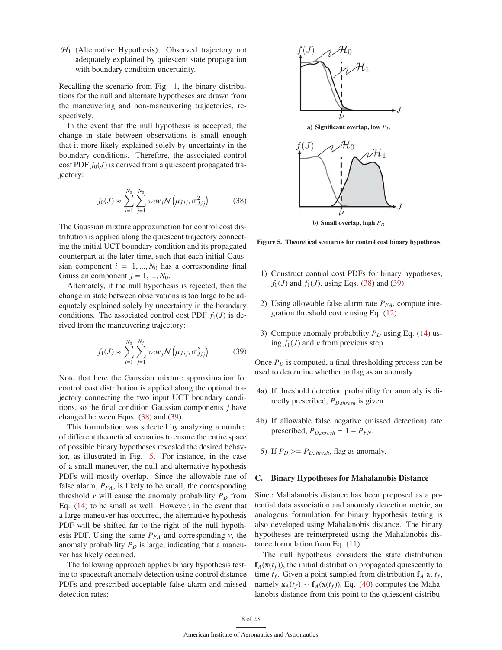$H<sub>1</sub>$  (Alternative Hypothesis): Observed trajectory not adequately explained by quiescent state propagation with boundary condition uncertainty.

Recalling the scenario from Fig. 1, the binary distributions for the null and alternate hypotheses are drawn from the maneuvering and non-maneuvering trajectories, respectively.

In the event that the null hypothesis is accepted, the change in state between observations is small enough that it more likely explained solely by uncertainty in the boundary conditions. Therefore, the associated control cost PDF  $f_0(J)$  is derived from a quiescent propagated trajectory:

$$
f_0(J) \approx \sum_{i=1}^{N_0} \sum_{j=1}^{N_0} w_i w_j \mathcal{N}\left(\mu_{J,ij}, \sigma_{J,ij}^2\right)
$$
 (38)

The Gaussian mixture approximation for control cost distribution is applied along the quiescent trajectory connecting the initial UCT boundary condition and its propagated counterpart at the later time, such that each initial Gaussian component  $i = 1, ..., N_0$  has a corresponding final Gaussian component  $j = 1, ..., N_0$ .

Alternately, if the null hypothesis is rejected, then the change in state between observations is too large to be adequately explained solely by uncertainty in the boundary conditions. The associated control cost PDF  $f_1(J)$  is derived from the maneuvering trajectory:

$$
f_1(J) \approx \sum_{i=1}^{N_0} \sum_{j=1}^{N_f} w_i w_j \mathcal{N}\left(\mu_{J,ij}, \sigma_{J,ij}^2\right)
$$
 (39)

Note that here the Gaussian mixture approximation for control cost distribution is applied along the optimal trajectory connecting the two input UCT boundary conditions, so the final condition Gaussian components *j* have changed between Eqns. (38) and (39).

This formulation was selected by analyzing a number of different theoretical scenarios to ensure the entire space of possible binary hypotheses revealed the desired behavior, as illustrated in Fig. 5. For instance, in the case of a small maneuver, the null and alternative hypothesis PDFs will mostly overlap. Since the allowable rate of false alarm,  $P_{FA}$ , is likely to be small, the corresponding threshold  $\nu$  will cause the anomaly probability  $P_D$  from Eq. (14) to be small as well. However, in the event that a large maneuver has occurred, the alternative hypothesis PDF will be shifted far to the right of the null hypothesis PDF. Using the same  $P_{FA}$  and corresponding  $\nu$ , the anomaly probability  $P_D$  is large, indicating that a maneuver has likely occurred.

The following approach applies binary hypothesis testing to spacecraft anomaly detection using control distance PDFs and prescribed acceptable false alarm and missed detection rates:



b) Small overlap, high  $P_D$ 

Figure 5. Theoretical scenarios for control cost binary hypotheses

- 1) Construct control cost PDFs for binary hypotheses,  $f_0(J)$  and  $f_1(J)$ , using Eqs. (38) and (39).
- 2) Using allowable false alarm rate  $P_{FA}$ , compute integration threshold cost  $\nu$  using Eq. (12).
- 3) Compute anomaly probability  $P_D$  using Eq. (14) using  $f_1(J)$  and  $\nu$  from previous step.

Once  $P_D$  is computed, a final thresholding process can be used to determine whether to flag as an anomaly.

- 4a) If threshold detection probability for anomaly is directly prescribed, *PD*,*thresh* is given.
- 4b) If allowable false negative (missed detection) rate prescribed,  $P_{D,thresh} = 1 - P_{FN}$ .
- 5) If  $P_D \ge P_{D,thresh}$ , flag as anomaly.

#### C. Binary Hypotheses for Mahalanobis Distance

Since Mahalanobis distance has been proposed as a potential data association and anomaly detection metric, an analogous formulation for binary hypothesis testing is also developed using Mahalanobis distance. The binary hypotheses are reinterpreted using the Mahalanobis distance formulation from Eq. (11).

The null hypothesis considers the state distribution  $f_A(x(t_f))$ , the initial distribution propagated quiescently to time  $t_f$ . Given a point sampled from distribution  $f_A$  at  $t_f$ , namely  $\mathbf{x}_A(t_f)$  ~  $\mathbf{f}_A(\mathbf{x}(t_f))$ , Eq. (40) computes the Mahalanobis distance from this point to the quiescent distribu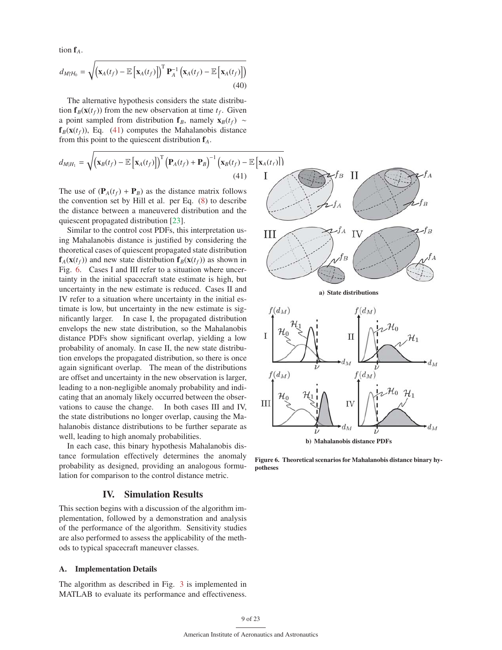tion f*A*.

$$
d_{M|\mathcal{H}_0} = \sqrt{\left(\mathbf{x}_A(t_f) - \mathbb{E}\left[\mathbf{x}_A(t_f)\right]\right)^{\mathrm{T}} \mathbf{P}_A^{-1} \left(\mathbf{x}_A(t_f) - \mathbb{E}\left[\mathbf{x}_A(t_f)\right]\right)}
$$
(40)

The alternative hypothesis considers the state distribution  $f_B(x(t_f))$  from the new observation at time  $t_f$ . Given a point sampled from distribution  $f_B$ , namely  $x_B(t_f) \sim$  $f_B(x(t_f))$ , Eq. (41) computes the Mahalanobis distance from this point to the quiescent distribution f*A*.

$$
d_{M|H_1} = \sqrt{\left(\mathbf{x}_B(t_f) - \mathbb{E}\left[\mathbf{x}_A(t_f)\right]\right)^T \left(\mathbf{P}_A(t_f) + \mathbf{P}_B\right)^{-1} \left(\mathbf{x}_B(t_f) - \mathbb{E}\left[\mathbf{x}_A(t_f)\right]\right)}
$$
\n(41)

The use of  $(P_A(t_f) + P_B)$  as the distance matrix follows the convention set by Hill et al. per Eq. (8) to describe the distance between a maneuvered distribution and the quiescent propagated distribution [23].

Similar to the control cost PDFs, this interpretation using Mahalanobis distance is justified by considering the theoretical cases of quiescent propagated state distribution  $f_A(x(t_f))$  and new state distribution  $f_B(x(t_f))$  as shown in Fig. 6. Cases I and III refer to a situation where uncertainty in the initial spacecraft state estimate is high, but uncertainty in the new estimate is reduced. Cases II and IV refer to a situation where uncertainty in the initial estimate is low, but uncertainty in the new estimate is significantly larger. In case I, the propagated distribution envelops the new state distribution, so the Mahalanobis distance PDFs show significant overlap, yielding a low probability of anomaly. In case II, the new state distribution envelops the propagated distribution, so there is once again significant overlap. The mean of the distributions are offset and uncertainty in the new observation is larger, leading to a non-negligible anomaly probability and indicating that an anomaly likely occurred between the observations to cause the change. In both cases III and IV, the state distributions no longer overlap, causing the Mahalanobis distance distributions to be further separate as well, leading to high anomaly probabilities.

In each case, this binary hypothesis Mahalanobis distance formulation effectively determines the anomaly probability as designed, providing an analogous formulation for comparison to the control distance metric.

# IV. Simulation Results

This section begins with a discussion of the algorithm implementation, followed by a demonstration and analysis of the performance of the algorithm. Sensitivity studies are also performed to assess the applicability of the methods to typical spacecraft maneuver classes.

#### A. Implementation Details

The algorithm as described in Fig. 3 is implemented in MATLAB to evaluate its performance and effectiveness.



a) State distributions



Figure 6. Theoretical scenarios for Mahalanobis distance binary hypotheses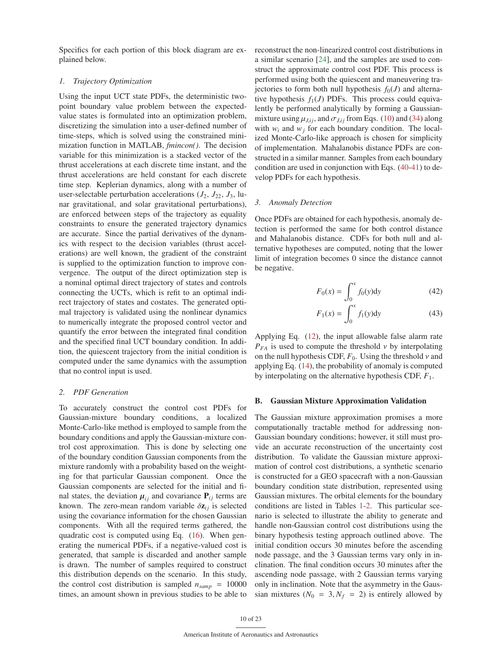Specifics for each portion of this block diagram are explained below.

### *1. Trajectory Optimization*

Using the input UCT state PDFs, the deterministic twopoint boundary value problem between the expectedvalue states is formulated into an optimization problem, discretizing the simulation into a user-defined number of time-steps, which is solved using the constrained minimization function in MATLAB, *fmincon()*. The decision variable for this minimization is a stacked vector of the thrust accelerations at each discrete time instant, and the thrust accelerations are held constant for each discrete time step. Keplerian dynamics, along with a number of user-selectable perturbation accelerations  $(J_2, J_{22}, J_3, \text{lu-}$ nar gravitational, and solar gravitational perturbations), are enforced between steps of the trajectory as equality constraints to ensure the generated trajectory dynamics are accurate. Since the partial derivatives of the dynamics with respect to the decision variables (thrust accelerations) are well known, the gradient of the constraint is supplied to the optimization function to improve convergence. The output of the direct optimization step is a nominal optimal direct trajectory of states and controls connecting the UCTs, which is refit to an optimal indirect trajectory of states and costates. The generated optimal trajectory is validated using the nonlinear dynamics to numerically integrate the proposed control vector and quantify the error between the integrated final condition and the specified final UCT boundary condition. In addition, the quiescent trajectory from the initial condition is computed under the same dynamics with the assumption that no control input is used.

#### *2. PDF Generation*

To accurately construct the control cost PDFs for Gaussian-mixture boundary conditions, a localized Monte-Carlo-like method is employed to sample from the boundary conditions and apply the Gaussian-mixture control cost approximation. This is done by selecting one of the boundary condition Gaussian components from the mixture randomly with a probability based on the weighting for that particular Gaussian component. Once the Gaussian components are selected for the initial and final states, the deviation  $\mu_{ij}$  and covariance  $P_{ij}$  terms are known. The zero-mean random variable  $\delta z_{ij}$  is selected using the covariance information for the chosen Gaussian components. With all the required terms gathered, the quadratic cost is computed using Eq. (16). When generating the numerical PDFs, if a negative-valued cost is generated, that sample is discarded and another sample is drawn. The number of samples required to construct this distribution depends on the scenario. In this study, the control cost distribution is sampled  $n_{\text{r}} = 10000$ times, an amount shown in previous studies to be able to

reconstruct the non-linearized control cost distributions in a similar scenario [24], and the samples are used to construct the approximate control cost PDF. This process is performed using both the quiescent and maneuvering trajectories to form both null hypothesis  $f_0(J)$  and alternative hypothesis  $f_1(J)$  PDFs. This process could equivalently be performed analytically by forming a Gaussianmixture using  $\mu_{J,ij}$ , and  $\sigma_{J,ij}$  from Eqs. (10) and (34) along with  $w_i$  and  $w_j$  for each boundary condition. The localized Monte-Carlo-like approach is chosen for simplicity of implementation. Mahalanobis distance PDFs are constructed in a similar manner. Samples from each boundary condition are used in conjunction with Eqs. (40-41) to develop PDFs for each hypothesis.

#### *3. Anomaly Detection*

Once PDFs are obtained for each hypothesis, anomaly detection is performed the same for both control distance and Mahalanobis distance. CDFs for both null and alternative hypotheses are computed, noting that the lower limit of integration becomes 0 since the distance cannot be negative.

$$
F_0(x) = \int_0^x f_0(y) dy
$$
 (42)

$$
F_1(x) = \int_0^x f_1(y) dy
$$
 (43)

Applying Eq. (12), the input allowable false alarm rate  $P_{FA}$  is used to compute the threshold  $\nu$  by interpolating on the null hypothesis CDF,  $F_0$ . Using the threshold  $\nu$  and applying Eq. (14), the probability of anomaly is computed by interpolating on the alternative hypothesis CDF, *F*1.

#### B. Gaussian Mixture Approximation Validation

The Gaussian mixture approximation promises a more computationally tractable method for addressing non-Gaussian boundary conditions; however, it still must provide an accurate reconstruction of the uncertainty cost distribution. To validate the Gaussian mixture approximation of control cost distributions, a synthetic scenario is constructed for a GEO spacecraft with a non-Gaussian boundary condition state distribution, represented using Gaussian mixtures. The orbital elements for the boundary conditions are listed in Tables 1-2. This particular scenario is selected to illustrate the ability to generate and handle non-Gaussian control cost distributions using the binary hypothesis testing approach outlined above. The initial condition occurs 30 minutes before the ascending node passage, and the 3 Gaussian terms vary only in inclination. The final condition occurs 30 minutes after the ascending node passage, with 2 Gaussian terms varying only in inclination. Note that the asymmetry in the Gaussian mixtures ( $N_0 = 3, N_f = 2$ ) is entirely allowed by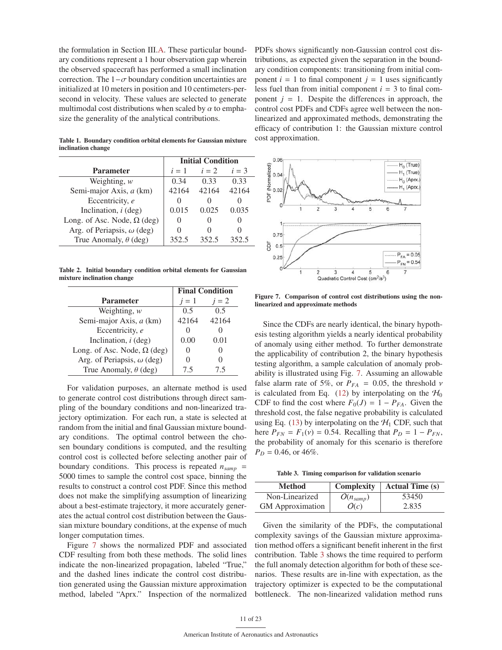the formulation in Section III.A. These particular boundary conditions represent a 1 hour observation gap wherein the observed spacecraft has performed a small inclination correction. The  $1-\sigma$  boundary condition uncertainties are initialized at 10 meters in position and 10 centimeters-persecond in velocity. These values are selected to generate multimodal cost distributions when scaled by  $\alpha$  to emphasize the generality of the analytical contributions.

|                                    | <b>Initial Condition</b> |       |       |
|------------------------------------|--------------------------|-------|-------|
| <b>Parameter</b>                   | $i=1$                    | $i=2$ | $i=3$ |
| Weighting, $w$                     | 0.34                     | 0.33  | 0.33  |
| Semi-major Axis, a (km)            | 42164                    | 42164 | 42164 |
| Eccentricity, e                    |                          |       |       |
| Inclination, $i$ (deg)             | 0.015                    | 0.025 | 0.035 |
| Long. of Asc. Node, $\Omega$ (deg) |                          |       |       |
| Arg. of Periapsis, $\omega$ (deg)  |                          |       |       |
| True Anomaly, $\theta$ (deg)       | 352.5                    | 352.5 | 352.5 |

Table 1. Boundary condition orbital elements for Gaussian mixture inclination change

Table 2. Initial boundary condition orbital elements for Gaussian mixture inclination change

|                                    | <b>Final Condition</b> |       |
|------------------------------------|------------------------|-------|
| <b>Parameter</b>                   | $i=1$                  | $i=2$ |
| Weighting, $w$                     | 0.5                    | 0.5   |
| Semi-major Axis, a (km)            | 42164                  | 42164 |
| Eccentricity, e                    |                        |       |
| Inclination, $i$ (deg)             | 0.00                   | 0.01  |
| Long. of Asc. Node, $\Omega$ (deg) |                        |       |
| Arg. of Periapsis, $\omega$ (deg)  |                        |       |
| True Anomaly, $\theta$ (deg)       | 7.5                    | 75    |

For validation purposes, an alternate method is used to generate control cost distributions through direct sampling of the boundary conditions and non-linearized trajectory optimization. For each run, a state is selected at random from the initial and final Gaussian mixture boundary conditions. The optimal control between the chosen boundary conditions is computed, and the resulting control cost is collected before selecting another pair of boundary conditions. This process is repeated  $n_{\text{ramp}} =$ 5000 times to sample the control cost space, binning the results to construct a control cost PDF. Since this method does not make the simplifying assumption of linearizing about a best-estimate trajectory, it more accurately generates the actual control cost distribution between the Gaussian mixture boundary conditions, at the expense of much longer computation times.

Figure 7 shows the normalized PDF and associated CDF resulting from both these methods. The solid lines indicate the non-linearized propagation, labeled "True," and the dashed lines indicate the control cost distribution generated using the Gaussian mixture approximation method, labeled "Aprx." Inspection of the normalized

PDFs shows significantly non-Gaussian control cost distributions, as expected given the separation in the boundary condition components: transitioning from initial component  $i = 1$  to final component  $j = 1$  uses significantly less fuel than from initial component  $i = 3$  to final component  $j = 1$ . Despite the differences in approach, the control cost PDFs and CDFs agree well between the nonlinearized and approximated methods, demonstrating the efficacy of contribution 1: the Gaussian mixture control cost approximation.



Figure 7. Comparison of control cost distributions using the nonlinearized and approximate methods

Since the CDFs are nearly identical, the binary hypothesis testing algorithm yields a nearly identical probability of anomaly using either method. To further demonstrate the applicability of contribution 2, the binary hypothesis testing algorithm, a sample calculation of anomaly probability is illustrated using Fig. 7. Assuming an allowable false alarm rate of 5%, or  $P_{FA} = 0.05$ , the threshold *v* is calculated from Eq. (12) by interpolating on the  $H_0$ CDF to find the cost where  $F_0(J) = 1 - P_{FA}$ . Given the threshold cost, the false negative probability is calculated using Eq. (13) by interpolating on the  $H_1$  CDF, such that here  $P_{FN} = F_1(v) = 0.54$ . Recalling that  $P_D = 1 - P_{FN}$ , the probability of anomaly for this scenario is therefore  $P_D = 0.46$ , or  $46\%$ .

Table 3. Timing comparison for validation scenario

| <b>Method</b>           | <b>Complexity</b>    | <b>Actual Time (s)</b> |
|-------------------------|----------------------|------------------------|
| Non-Linearized          | $O(n_{\text{samp}})$ | 53450                  |
| <b>GM</b> Approximation | O(c)                 | 2.835                  |

Given the similarity of the PDFs, the computational complexity savings of the Gaussian mixture approximation method offers a significant benefit inherent in the first contribution. Table 3 shows the time required to perform the full anomaly detection algorithm for both of these scenarios. These results are in-line with expectation, as the trajectory optimizer is expected to be the computational bottleneck. The non-linearized validation method runs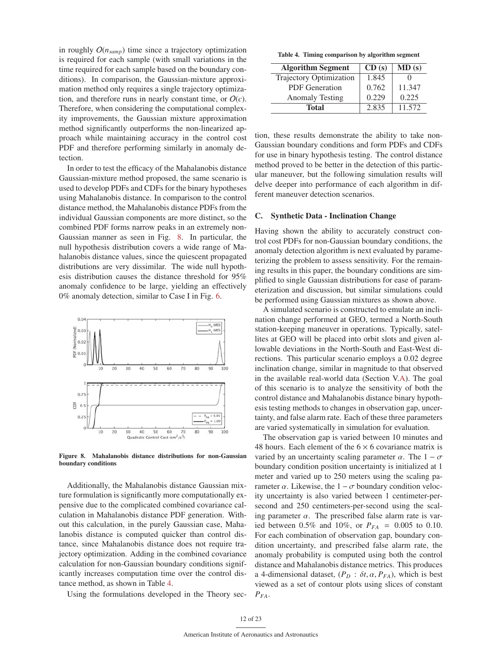in roughly  $O(n_{\text{samn}})$  time since a trajectory optimization is required for each sample (with small variations in the time required for each sample based on the boundary conditions). In comparison, the Gaussian-mixture approximation method only requires a single trajectory optimization, and therefore runs in nearly constant time, or  $O(c)$ . Therefore, when considering the computational complexity improvements, the Gaussian mixture approximation method significantly outperforms the non-linearized approach while maintaining accuracy in the control cost PDF and therefore performing similarly in anomaly detection.

In order to test the efficacy of the Mahalanobis distance Gaussian-mixture method proposed, the same scenario is used to develop PDFs and CDFs for the binary hypotheses using Mahalanobis distance. In comparison to the control distance method, the Mahalanobis distance PDFs from the individual Gaussian components are more distinct, so the combined PDF forms narrow peaks in an extremely non-Gaussian manner as seen in Fig. 8. In particular, the null hypothesis distribution covers a wide range of Mahalanobis distance values, since the quiescent propagated distributions are very dissimilar. The wide null hypothesis distribution causes the distance threshold for 95% anomaly confidence to be large, yielding an effectively 0% anomaly detection, similar to Case I in Fig. 6.



Figure 8. Mahalanobis distance distributions for non-Gaussian boundary conditions

Additionally, the Mahalanobis distance Gaussian mixture formulation is significantly more computationally expensive due to the complicated combined covariance calculation in Mahalanobis distance PDF generation. Without this calculation, in the purely Gaussian case, Mahalanobis distance is computed quicker than control distance, since Mahalanobis distance does not require trajectory optimization. Adding in the combined covariance calculation for non-Gaussian boundary conditions significantly increases computation time over the control distance method, as shown in Table 4.

Using the formulations developed in the Theory sec-

Table 4. Timing comparison by algorithm segment

| <b>Algorithm Segment</b> | CD(s) | MD(s)  |
|--------------------------|-------|--------|
| Trajectory Optimization  | 1.845 |        |
| <b>PDF</b> Generation    | 0.762 | 11.347 |
| <b>Anomaly Testing</b>   | 0.229 | 0.225  |
| <b>Total</b>             | 2.835 | 11.572 |

tion, these results demonstrate the ability to take non-Gaussian boundary conditions and form PDFs and CDFs for use in binary hypothesis testing. The control distance method proved to be better in the detection of this particular maneuver, but the following simulation results will delve deeper into performance of each algorithm in different maneuver detection scenarios.

#### C. Synthetic Data - Inclination Change

Having shown the ability to accurately construct control cost PDFs for non-Gaussian boundary conditions, the anomaly detection algorithm is next evaluated by parameterizing the problem to assess sensitivity. For the remaining results in this paper, the boundary conditions are simplified to single Gaussian distributions for ease of parameterization and discussion, but similar simulations could be performed using Gaussian mixtures as shown above.

A simulated scenario is constructed to emulate an inclination change performed at GEO, termed a North-South station-keeping maneuver in operations. Typically, satellites at GEO will be placed into orbit slots and given allowable deviations in the North-South and East-West directions. This particular scenario employs a 0.02 degree inclination change, similar in magnitude to that observed in the available real-world data (Section V.A). The goal of this scenario is to analyze the sensitivity of both the control distance and Mahalanobis distance binary hypothesis testing methods to changes in observation gap, uncertainty, and false alarm rate. Each of these three parameters are varied systematically in simulation for evaluation.

The observation gap is varied between 10 minutes and 48 hours. Each element of the  $6 \times 6$  covariance matrix is varied by an uncertainty scaling parameter  $\alpha$ . The  $1 - \sigma$ boundary condition position uncertainty is initialized at 1 meter and varied up to 250 meters using the scaling parameter  $\alpha$ . Likewise, the  $1 - \sigma$  boundary condition velocity uncertainty is also varied between 1 centimeter-persecond and 250 centimeters-per-second using the scaling parameter  $\alpha$ . The prescribed false alarm rate is varied between 0.5% and 10%, or  $P_{FA} = 0.005$  to 0.10. For each combination of observation gap, boundary condition uncertainty, and prescribed false alarm rate, the anomaly probability is computed using both the control distance and Mahalanobis distance metrics. This produces a 4-dimensional dataset,  $(P_D : \delta t, \alpha, P_{FA})$ , which is best viewed as a set of contour plots using slices of constant *PFA*.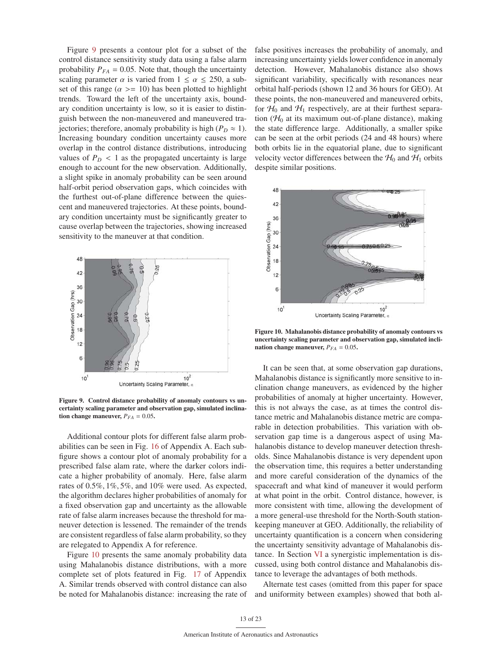Figure 9 presents a contour plot for a subset of the control distance sensitivity study data using a false alarm probability  $P_{FA} = 0.05$ . Note that, though the uncertainty scaling parameter  $\alpha$  is varied from  $1 \le \alpha \le 250$ , a subset of this range ( $\alpha$  >= 10) has been plotted to highlight trends. Toward the left of the uncertainty axis, boundary condition uncertainty is low, so it is easier to distinguish between the non-maneuvered and maneuvered trajectories; therefore, anomaly probability is high ( $P_D \approx 1$ ). Increasing boundary condition uncertainty causes more overlap in the control distance distributions, introducing values of  $P_D < 1$  as the propagated uncertainty is large enough to account for the new observation. Additionally, a slight spike in anomaly probability can be seen around half-orbit period observation gaps, which coincides with the furthest out-of-plane difference between the quiescent and maneuvered trajectories. At these points, boundary condition uncertainty must be significantly greater to cause overlap between the trajectories, showing increased sensitivity to the maneuver at that condition.



Figure 9. Control distance probability of anomaly contours vs uncertainty scaling parameter and observation gap, simulated inclination change maneuver,  $P_{FA} = 0.05$ .

Additional contour plots for different false alarm probabilities can be seen in Fig. 16 of Appendix A. Each subfigure shows a contour plot of anomaly probability for a prescribed false alam rate, where the darker colors indicate a higher probability of anomaly. Here, false alarm rates of 0.5%, 1%, 5%, and 10% were used. As expected, the algorithm declares higher probabilities of anomaly for a fixed observation gap and uncertainty as the allowable rate of false alarm increases because the threshold for maneuver detection is lessened. The remainder of the trends are consistent regardless of false alarm probability, so they are relegated to Appendix A for reference.

Figure 10 presents the same anomaly probability data using Mahalanobis distance distributions, with a more complete set of plots featured in Fig. 17 of Appendix A. Similar trends observed with control distance can also be noted for Mahalanobis distance: increasing the rate of false positives increases the probability of anomaly, and increasing uncertainty yields lower confidence in anomaly detection. However, Mahalanobis distance also shows significant variability, specifically with resonances near orbital half-periods (shown 12 and 36 hours for GEO). At these points, the non-maneuvered and maneuvered orbits, for  $H_0$  and  $H_1$  respectively, are at their furthest separation ( $H_0$  at its maximum out-of-plane distance), making the state difference large. Additionally, a smaller spike can be seen at the orbit periods (24 and 48 hours) where both orbits lie in the equatorial plane, due to significant velocity vector differences between the  $\mathcal{H}_0$  and  $\mathcal{H}_1$  orbits despite similar positions.



Figure 10. Mahalanobis distance probability of anomaly contours vs uncertainty scaling parameter and observation gap, simulated inclination change maneuver,  $P_{FA} = 0.05$ .

It can be seen that, at some observation gap durations, Mahalanobis distance is significantly more sensitive to inclination change maneuvers, as evidenced by the higher probabilities of anomaly at higher uncertainty. However, this is not always the case, as at times the control distance metric and Mahalanobis distance metric are comparable in detection probabilities. This variation with observation gap time is a dangerous aspect of using Mahalanobis distance to develop maneuver detection thresholds. Since Mahalanobis distance is very dependent upon the observation time, this requires a better understanding and more careful consideration of the dynamics of the spacecraft and what kind of maneuver it would perform at what point in the orbit. Control distance, however, is more consistent with time, allowing the development of a more general-use threshold for the North-South stationkeeping maneuver at GEO. Additionally, the reliability of uncertainty quantification is a concern when considering the uncertainty sensitivity advantage of Mahalanobis distance. In Section VI a synergistic implementation is discussed, using both control distance and Mahalanobis distance to leverage the advantages of both methods.

Alternate test cases (omitted from this paper for space and uniformity between examples) showed that both al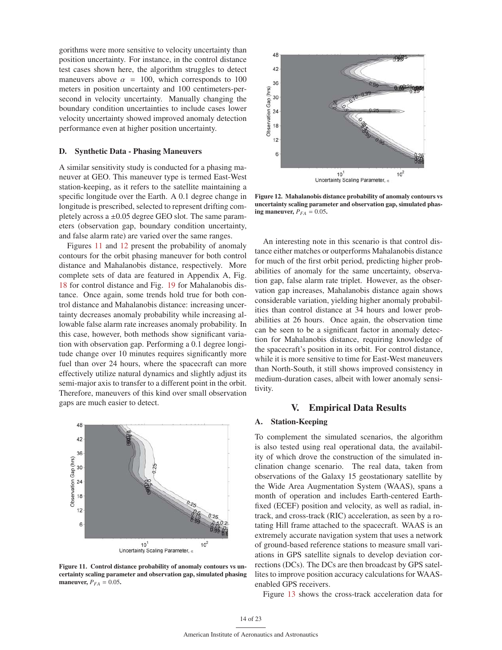gorithms were more sensitive to velocity uncertainty than position uncertainty. For instance, in the control distance test cases shown here, the algorithm struggles to detect maneuvers above  $\alpha = 100$ , which corresponds to 100 meters in position uncertainty and 100 centimeters-persecond in velocity uncertainty. Manually changing the boundary condition uncertainties to include cases lower velocity uncertainty showed improved anomaly detection performance even at higher position uncertainty.

#### D. Synthetic Data - Phasing Maneuvers

A similar sensitivity study is conducted for a phasing maneuver at GEO. This maneuver type is termed East-West station-keeping, as it refers to the satellite maintaining a specific longitude over the Earth. A 0.1 degree change in longitude is prescribed, selected to represent drifting completely across a  $\pm 0.05$  degree GEO slot. The same parameters (observation gap, boundary condition uncertainty, and false alarm rate) are varied over the same ranges.

Figures 11 and 12 present the probability of anomaly contours for the orbit phasing maneuver for both control distance and Mahalanobis distance, respectively. More complete sets of data are featured in Appendix A, Fig. 18 for control distance and Fig. 19 for Mahalanobis distance. Once again, some trends hold true for both control distance and Mahalanobis distance: increasing uncertainty decreases anomaly probability while increasing allowable false alarm rate increases anomaly probability. In this case, however, both methods show significant variation with observation gap. Performing a 0.1 degree longitude change over 10 minutes requires significantly more fuel than over 24 hours, where the spacecraft can more effectively utilize natural dynamics and slightly adjust its semi-major axis to transfer to a different point in the orbit. Therefore, maneuvers of this kind over small observation gaps are much easier to detect.



Figure 11. Control distance probability of anomaly contours vs uncertainty scaling parameter and observation gap, simulated phasing maneuver,  $P_{FA} = 0.05$ .



Figure 12. Mahalanobis distance probability of anomaly contours vs uncertainty scaling parameter and observation gap, simulated phasing maneuver,  $P_{FA} = 0.05$ .

An interesting note in this scenario is that control distance either matches or outperforms Mahalanobis distance for much of the first orbit period, predicting higher probabilities of anomaly for the same uncertainty, observation gap, false alarm rate triplet. However, as the observation gap increases, Mahalanobis distance again shows considerable variation, yielding higher anomaly probabilities than control distance at 34 hours and lower probabilities at 26 hours. Once again, the observation time can be seen to be a significant factor in anomaly detection for Mahalanobis distance, requiring knowledge of the spacecraft's position in its orbit. For control distance, while it is more sensitive to time for East-West maneuvers than North-South, it still shows improved consistency in medium-duration cases, albeit with lower anomaly sensitivity.

# V. Empirical Data Results

# **Station-Keeping**

To complement the simulated scenarios, the algorithm is also tested using real operational data, the availability of which drove the construction of the simulated inclination change scenario. The real data, taken from observations of the Galaxy 15 geostationary satellite by the Wide Area Augmentation System (WAAS), spans a month of operation and includes Earth-centered Earthfixed (ECEF) position and velocity, as well as radial, intrack, and cross-track (RIC) acceleration, as seen by a rotating Hill frame attached to the spacecraft. WAAS is an extremely accurate navigation system that uses a network of ground-based reference stations to measure small variations in GPS satellite signals to develop deviation corrections (DCs). The DCs are then broadcast by GPS satellites to improve position accuracy calculations for WAASenabled GPS receivers.

Figure 13 shows the cross-track acceleration data for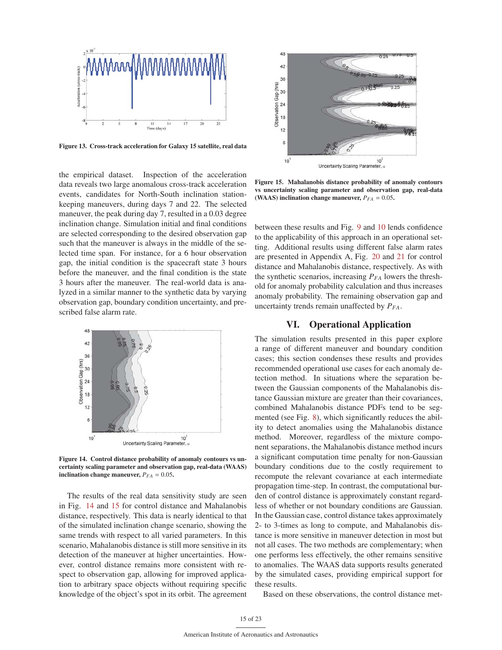

Figure 13. Cross-track acceleration for Galaxy 15 satellite, real data

the empirical dataset. Inspection of the acceleration data reveals two large anomalous cross-track acceleration events, candidates for North-South inclination stationkeeping maneuvers, during days 7 and 22. The selected maneuver, the peak during day 7, resulted in a 0.03 degree inclination change. Simulation initial and final conditions are selected corresponding to the desired observation gap such that the maneuver is always in the middle of the selected time span. For instance, for a 6 hour observation gap, the initial condition is the spacecraft state 3 hours before the maneuver, and the final condition is the state 3 hours after the maneuver. The real-world data is analyzed in a similar manner to the synthetic data by varying observation gap, boundary condition uncertainty, and prescribed false alarm rate.



Figure 14. Control distance probability of anomaly contours vs uncertainty scaling parameter and observation gap, real-data (WAAS) inclination change maneuver,  $P_{FA} = 0.05$ .

The results of the real data sensitivity study are seen in Fig. 14 and 15 for control distance and Mahalanobis distance, respectively. This data is nearly identical to that of the simulated inclination change scenario, showing the same trends with respect to all varied parameters. In this scenario, Mahalanobis distance is still more sensitive in its detection of the maneuver at higher uncertainties. However, control distance remains more consistent with respect to observation gap, allowing for improved application to arbitrary space objects without requiring specific knowledge of the object's spot in its orbit. The agreement



Figure 15. Mahalanobis distance probability of anomaly contours vs uncertainty scaling parameter and observation gap, real-data (WAAS) inclination change maneuver,  $P_{FA} = 0.05$ .

between these results and Fig. 9 and 10 lends confidence to the applicability of this approach in an operational setting. Additional results using different false alarm rates are presented in Appendix A, Fig. 20 and 21 for control distance and Mahalanobis distance, respectively. As with the synthetic scenarios, increasing  $P_{FA}$  lowers the threshold for anomaly probability calculation and thus increases anomaly probability. The remaining observation gap and uncertainty trends remain unaffected by  $P_{FA}$ .

# VI. Operational Application

The simulation results presented in this paper explore a range of different maneuver and boundary condition cases; this section condenses these results and provides recommended operational use cases for each anomaly detection method. In situations where the separation between the Gaussian components of the Mahalanobis distance Gaussian mixture are greater than their covariances, combined Mahalanobis distance PDFs tend to be segmented (see Fig. 8), which significantly reduces the ability to detect anomalies using the Mahalanobis distance method. Moreover, regardless of the mixture component separations, the Mahalanobis distance method incurs a significant computation time penalty for non-Gaussian boundary conditions due to the costly requirement to recompute the relevant covariance at each intermediate propagation time-step. In contrast, the computational burden of control distance is approximately constant regardless of whether or not boundary conditions are Gaussian. In the Gaussian case, control distance takes approximately 2- to 3-times as long to compute, and Mahalanobis distance is more sensitive in maneuver detection in most but not all cases. The two methods are complementary; when one performs less effectively, the other remains sensitive to anomalies. The WAAS data supports results generated by the simulated cases, providing empirical support for these results.

Based on these observations, the control distance met-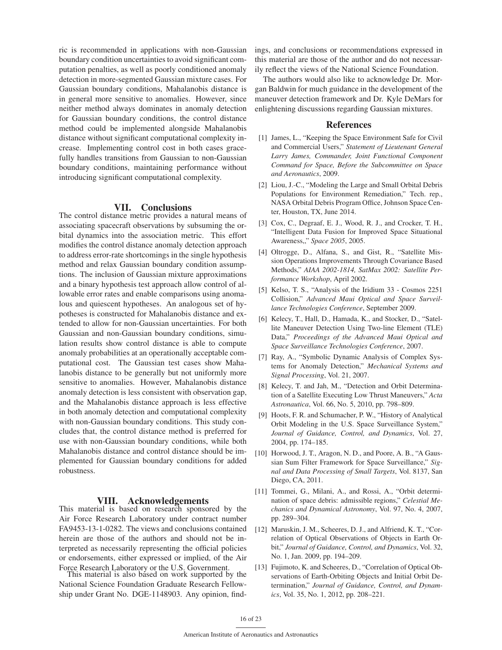ric is recommended in applications with non-Gaussian boundary condition uncertainties to avoid significant computation penalties, as well as poorly conditioned anomaly detection in more-segmented Gaussian mixture cases. For Gaussian boundary conditions, Mahalanobis distance is in general more sensitive to anomalies. However, since neither method always dominates in anomaly detection for Gaussian boundary conditions, the control distance method could be implemented alongside Mahalanobis distance without significant computational complexity increase. Implementing control cost in both cases gracefully handles transitions from Gaussian to non-Gaussian boundary conditions, maintaining performance without introducing significant computational complexity.

### VII. Conclusions

The control distance metric provides a natural means of associating spacecraft observations by subsuming the orbital dynamics into the association metric. This effort modifies the control distance anomaly detection approach to address error-rate shortcomings in the single hypothesis method and relax Gaussian boundary condition assumptions. The inclusion of Gaussian mixture approximations and a binary hypothesis test approach allow control of allowable error rates and enable comparisons using anomalous and quiescent hypotheses. An analogous set of hypotheses is constructed for Mahalanobis distance and extended to allow for non-Gaussian uncertainties. For both Gaussian and non-Gaussian boundary conditions, simulation results show control distance is able to compute anomaly probabilities at an operationally acceptable computational cost. The Gaussian test cases show Mahalanobis distance to be generally but not uniformly more sensitive to anomalies. However, Mahalanobis distance anomaly detection is less consistent with observation gap, and the Mahalanobis distance approach is less effective in both anomaly detection and computational complexity with non-Gaussian boundary conditions. This study concludes that, the control distance method is preferred for use with non-Gaussian boundary conditions, while both Mahalanobis distance and control distance should be implemented for Gaussian boundary conditions for added robustness.

**VIII.** Acknowledgements<br>This material is based on research sponsored by the Air Force Research Laboratory under contract number FA9453-13-1-0282. The views and conclusions contained herein are those of the authors and should not be interpreted as necessarily representing the official policies or endorsements, either expressed or implied, of the Air Force Research Laboratory or the U.S. Government. This material is also based on work supported by the

National Science Foundation Graduate Research Fellowship under Grant No. DGE-1148903. Any opinion, findings, and conclusions or recommendations expressed in this material are those of the author and do not necessarily reflect the views of the National Science Foundation.

The authors would also like to acknowledge Dr. Morgan Baldwin for much guidance in the development of the maneuver detection framework and Dr. Kyle DeMars for enlightening discussions regarding Gaussian mixtures.

### References

- [1] James, L., "Keeping the Space Environment Safe for Civil and Commercial Users," *Statement of Lieutenant General Larry James, Commander, Joint Functional Component Command for Space, Before the Subcommittee on Space and Aeronautics*, 2009.
- [2] Liou, J.-C., "Modeling the Large and Small Orbital Debris Populations for Environment Remediation," Tech. rep., NASA Orbital Debris Program Office, Johnson Space Center, Houston, TX, June 2014.
- [3] Cox, C., Degraaf, E. J., Wood, R. J., and Crocker, T. H., "Intelligent Data Fusion for Improved Space Situational Awareness,," *Space 2005*, 2005.
- [4] Oltrogge, D., Alfana, S., and Gist, R., "Satellite Mission Operations Improvements Through Covariance Based Methods," *AIAA 2002-1814, SatMax 2002: Satellite Performance Workshop*, April 2002.
- [5] Kelso, T. S., "Analysis of the Iridium 33 Cosmos 2251 Collision," *Advanced Maui Optical and Space Surveillance Technologies Conference*, September 2009.
- [6] Kelecy, T., Hall, D., Hamada, K., and Stocker, D., "Satellite Maneuver Detection Using Two-line Element (TLE) Data," *Proceedings of the Advanced Maui Optical and Space Surveillance Technologies Conference*, 2007.
- [7] Ray, A., "Symbolic Dynamic Analysis of Complex Systems for Anomaly Detection," *Mechanical Systems and Signal Processing*, Vol. 21, 2007.
- [8] Kelecy, T. and Jah, M., "Detection and Orbit Determination of a Satellite Executing Low Thrust Maneuvers," *Acta Astronautica*, Vol. 66, No. 5, 2010, pp. 798–809.
- [9] Hoots, F. R. and Schumacher, P. W., "History of Analytical Orbit Modeling in the U.S. Space Surveillance System," *Journal of Guidance, Control, and Dynamics*, Vol. 27, 2004, pp. 174–185.
- [10] Horwood, J. T., Aragon, N. D., and Poore, A. B., "A Gaussian Sum Filter Framework for Space Surveillance," *Signal and Data Processing of Small Targets*, Vol. 8137, San Diego, CA, 2011.
- [11] Tommei, G., Milani, A., and Rossi, A., "Orbit determination of space debris: admissible regions," *Celestial Mechanics and Dynamical Astronomy*, Vol. 97, No. 4, 2007, pp. 289–304.
- [12] Maruskin, J. M., Scheeres, D. J., and Alfriend, K. T., "Correlation of Optical Observations of Objects in Earth Orbit," *Journal of Guidance, Control, and Dynamics*, Vol. 32, No. 1, Jan. 2009, pp. 194–209.
- [13] Fujimoto, K. and Scheeres, D., "Correlation of Optical Observations of Earth-Orbiting Objects and Initial Orbit Determination," *Journal of Guidance, Control, and Dynamics*, Vol. 35, No. 1, 2012, pp. 208–221.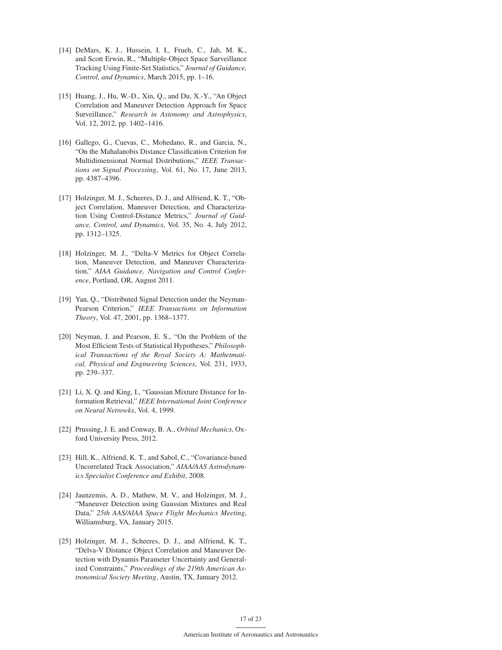- [14] DeMars, K. J., Hussein, I. I., Frueh, C., Jah, M. K., and Scott Erwin, R., "Multiple-Object Space Surveillance Tracking Using Finite-Set Statistics," *Journal of Guidance, Control, and Dynamics*, March 2015, pp. 1–16.
- [15] Huang, J., Hu, W.-D., Xin, Q., and Du, X.-Y., "An Object Correlation and Maneuver Detection Approach for Space Surveillance," *Research in Astonomy and Astrophysics*, Vol. 12, 2012, pp. 1402–1416.
- [16] Gallego, G., Cuevas, C., Mohedano, R., and Garcia, N., "On the Mahalanobis Distance Classification Criterion for Multidimensional Normal Distributions," *IEEE Transactions on Signal Processing*, Vol. 61, No. 17, June 2013, pp. 4387–4396.
- [17] Holzinger, M. J., Scheeres, D. J., and Alfriend, K. T., "Object Correlation, Maneuver Detection, and Characterization Using Control-Distance Metrics," *Journal of Guidance, Control, and Dynamics*, Vol. 35, No. 4, July 2012, pp. 1312–1325.
- [18] Holzinger, M. J., "Delta-V Metrics for Object Correlation, Maneuver Detection, and Maneuver Characterization," *AIAA Guidance, Navigation and Control Conference*, Portland, OR, August 2011.
- [19] Yan, Q., "Distributed Signal Detection under the Neyman-Pearson Criterion," *IEEE Transactions on Information Theory*, Vol. 47, 2001, pp. 1368–1377.
- [20] Neyman, J. and Pearson, E. S., "On the Problem of the Most Efficient Tests of Statistical Hypotheses," *Philosophical Transactions of the Royal Society A: Mathetmatical, Physical and Engineering Sciences*, Vol. 231, 1933, pp. 239–337.
- [21] Li, X. Q. and King, I., "Gaussian Mixture Distance for Information Retrieval," *IEEE International Joint Conference on Neural Netrowks*, Vol. 4, 1999.
- [22] Prussing, J. E. and Conway, B. A., *Orbital Mechanics*, Oxford University Press, 2012.
- [23] Hill, K., Alfriend, K. T., and Sabol, C., "Covariance-based Uncorrelated Track Association," *AIAA/AAS Astrodynamics Specialist Conference and Exhibit*, 2008.
- [24] Jaunzemis, A. D., Mathew, M. V., and Holzinger, M. J., "Maneuver Detection using Gaussian Mixtures and Real Data," *25th AAS/AIAA Space Flight Mechanics Meeting*, Williamsburg, VA, January 2015.
- [25] Holzinger, M. J., Scheeres, D. J., and Alfriend, K. T., "Delva-V Distance Object Correlation and Maneuver Detection with Dynamis Parameter Uncertainty and Generalized Constraints," *Proceedings of the 219th American Astronomical Society Meeting*, Austin, TX, January 2012.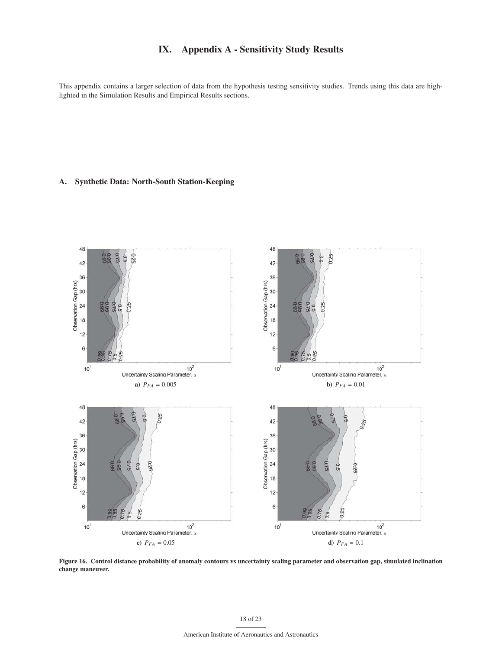# IX. Appendix A - Sensitivity Study Results

This appendix contains a larger selection of data from the hypothesis testing sensitivity studies. Trends using this data are highlighted in the Simulation Results and Empirical Results sections.

# A. Synthetic Data: North-South Station-Keeping



Figure 16. Control distance probability of anomaly contours vs uncertainty scaling parameter and observation gap, simulated inclination change maneuver.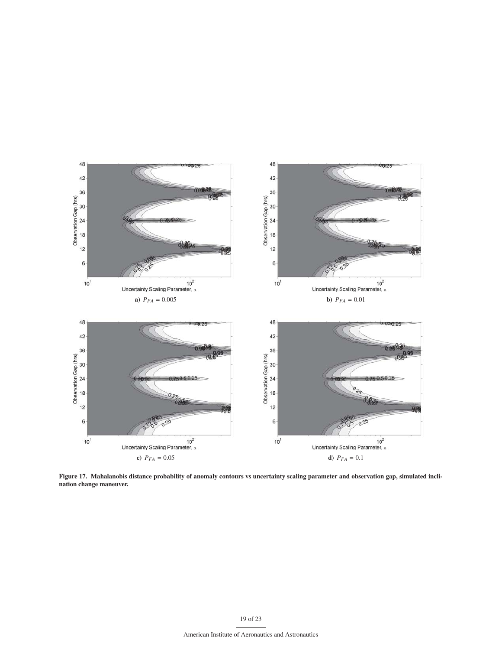

Figure 17. Mahalanobis distance probability of anomaly contours vs uncertainty scaling parameter and observation gap, simulated inclination change maneuver.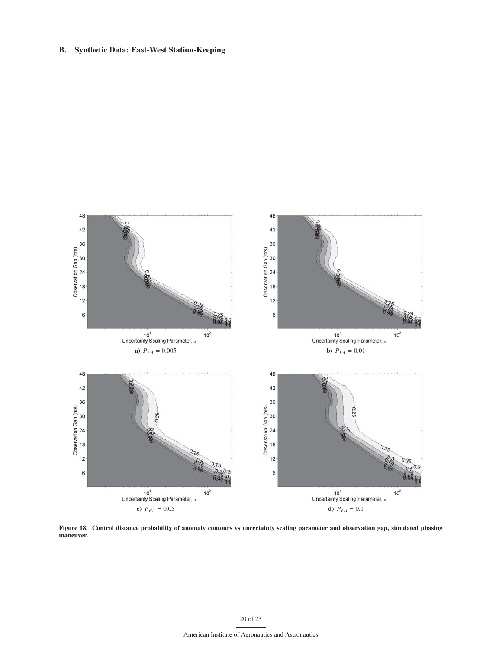# B. Synthetic Data: East-West Station-Keeping



Figure 18. Control distance probability of anomaly contours vs uncertainty scaling parameter and observation gap, simulated phasing maneuver.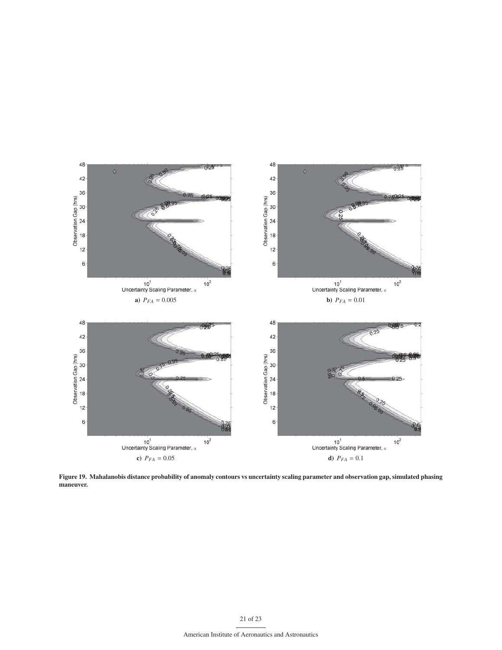

Figure 19. Mahalanobis distance probability of anomaly contours vs uncertainty scaling parameter and observation gap, simulated phasing maneuver.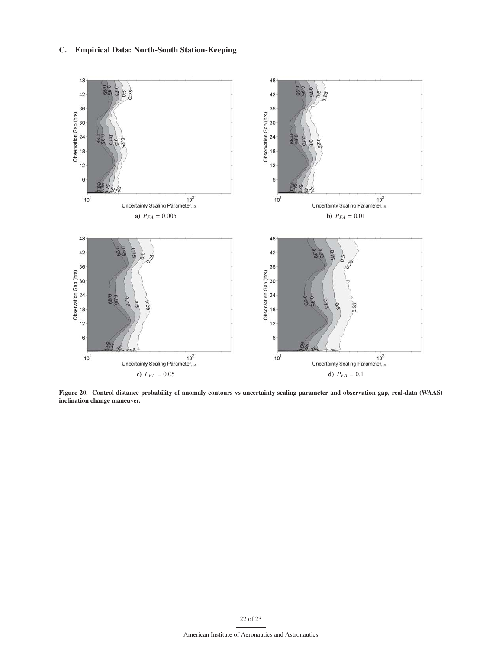# C. Empirical Data: North-South Station-Keeping



Figure 20. Control distance probability of anomaly contours vs uncertainty scaling parameter and observation gap, real-data (WAAS) inclination change maneuver.